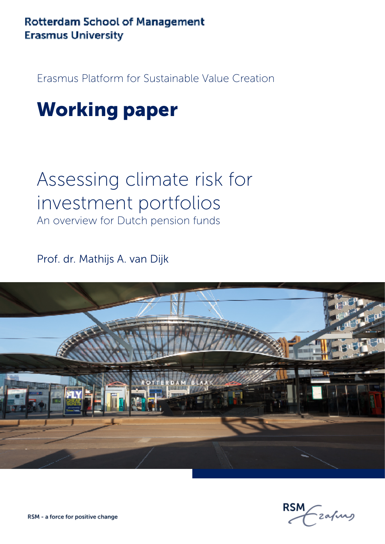### **Rotterdam School of Management Erasmus University**

Erasmus Platform for Sustainable Value Creation

### Working paper

## Assessing climate risk for investment portfolios

An overview for Dutch pension funds

Prof. dr. Mathijs A. van Dijk



-zafurs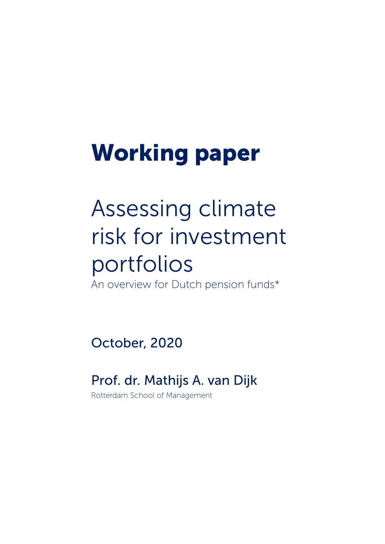# Working paper

# Assessing climate risk for investment portfolios

An overview for Dutch pension funds\*

October, 2020

### Prof. dr. Mathijs A. van Dijk

Rotterdam School of Management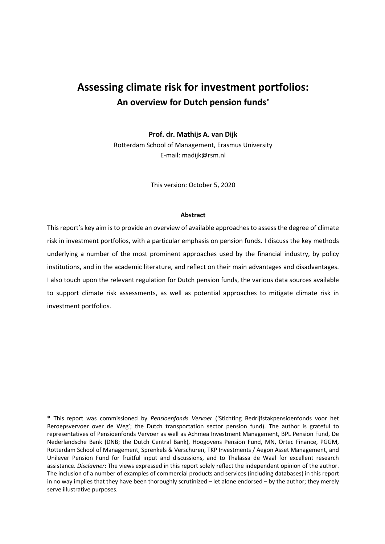### **Assessing climate risk for investment portfolios: An overview for Dutch pension funds\***

**Prof. dr. Mathijs A. van Dijk**

Rotterdam School of Management, Erasmus University E-mail: madijk@rsm.nl

This version: October 5, 2020

#### **Abstract**

This report's key aim is to provide an overview of available approaches to assess the degree of climate risk in investment portfolios, with a particular emphasis on pension funds. I discuss the key methods underlying a number of the most prominent approaches used by the financial industry, by policy institutions, and in the academic literature, and reflect on their main advantages and disadvantages. I also touch upon the relevant regulation for Dutch pension funds, the various data sources available to support climate risk assessments, as well as potential approaches to mitigate climate risk in investment portfolios.

**\*** This report was commissioned by *Pensioenfonds Vervoer* ('Stichting Bedrijfstakpensioenfonds voor het Beroepsvervoer over de Weg'; the Dutch transportation sector pension fund). The author is grateful to representatives of Pensioenfonds Vervoer as well as Achmea Investment Management, BPL Pension Fund, De Nederlandsche Bank (DNB; the Dutch Central Bank), Hoogovens Pension Fund, MN, Ortec Finance, PGGM, Rotterdam School of Management, Sprenkels & Verschuren, TKP Investments / Aegon Asset Management, and Unilever Pension Fund for fruitful input and discussions, and to Thalassa de Waal for excellent research assistance. *Disclaimer*: The views expressed in this report solely reflect the independent opinion of the author. The inclusion of a number of examples of commercial products and services (including databases) in this report in no way implies that they have been thoroughly scrutinized – let alone endorsed – by the author; they merely serve illustrative purposes.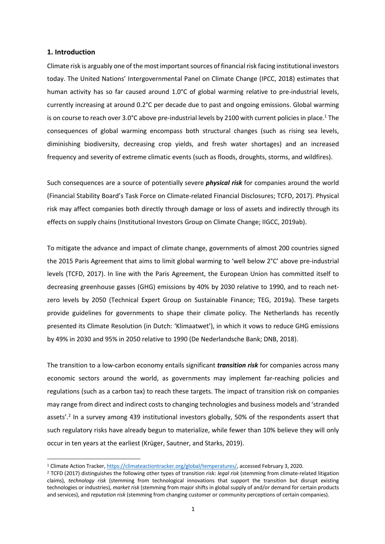#### **1. Introduction**

Climate risk is arguably one of the most important sources of financial risk facing institutional investors today. The United Nations' Intergovernmental Panel on Climate Change (IPCC, 2018) estimates that human activity has so far caused around 1.0°C of global warming relative to pre-industrial levels, currently increasing at around 0.2°C per decade due to past and ongoing emissions. Global warming is on course to reach over 3.0°C above pre-industrial levels by 2100 with current policies in place.<sup>1</sup> The consequences of global warming encompass both structural changes (such as rising sea levels, diminishing biodiversity, decreasing crop yields, and fresh water shortages) and an increased frequency and severity of extreme climatic events (such as floods, droughts, storms, and wildfires).

Such consequences are a source of potentially severe *physical risk* for companies around the world (Financial Stability Board's Task Force on Climate-related Financial Disclosures; TCFD, 2017). Physical risk may affect companies both directly through damage or loss of assets and indirectly through its effects on supply chains (Institutional Investors Group on Climate Change; IIGCC, 2019ab).

To mitigate the advance and impact of climate change, governments of almost 200 countries signed the 2015 Paris Agreement that aims to limit global warming to 'well below 2°C' above pre-industrial levels (TCFD, 2017). In line with the Paris Agreement, the European Union has committed itself to decreasing greenhouse gasses (GHG) emissions by 40% by 2030 relative to 1990, and to reach netzero levels by 2050 (Technical Expert Group on Sustainable Finance; TEG, 2019a). These targets provide guidelines for governments to shape their climate policy. The Netherlands has recently presented its Climate Resolution (in Dutch: 'Klimaatwet'), in which it vows to reduce GHG emissions by 49% in 2030 and 95% in 2050 relative to 1990 (De Nederlandsche Bank; DNB, 2018).

The transition to a low-carbon economy entails significant *transition risk* for companies across many economic sectors around the world, as governments may implement far-reaching policies and regulations (such as a carbon tax) to reach these targets. The impact of transition risk on companies may range from direct and indirect costs to changing technologies and business models and 'stranded assets'.<sup>2</sup> In a survey among 439 institutional investors globally, 50% of the respondents assert that such regulatory risks have already begun to materialize, while fewer than 10% believe they will only occur in ten years at the earliest (Krüger, Sautner, and Starks, 2019).

<sup>1</sup> Climate Action Tracker, https://climateactiontracker.org/global/temperatures/, accessed February 3, 2020.

<sup>2</sup> TCFD (2017) distinguishes the following other types of transition risk: *legal risk* (stemming from climate-related litigation claims), *technology risk* (stemming from technological innovations that support the transition but disrupt existing technologies or industries), *market risk* (stemming from major shifts in global supply of and/or demand for certain products and services), and *reputation risk* (stemming from changing customer or community perceptions of certain companies).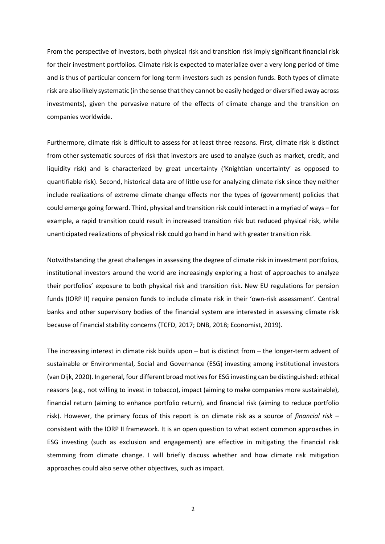From the perspective of investors, both physical risk and transition risk imply significant financial risk for their investment portfolios. Climate risk is expected to materialize over a very long period of time and is thus of particular concern for long-term investors such as pension funds. Both types of climate risk are also likely systematic (in the sense that they cannot be easily hedged or diversified away across investments), given the pervasive nature of the effects of climate change and the transition on companies worldwide.

Furthermore, climate risk is difficult to assess for at least three reasons. First, climate risk is distinct from other systematic sources of risk that investors are used to analyze (such as market, credit, and liquidity risk) and is characterized by great uncertainty ('Knightian uncertainty' as opposed to quantifiable risk). Second, historical data are of little use for analyzing climate risk since they neither include realizations of extreme climate change effects nor the types of (government) policies that could emerge going forward. Third, physical and transition risk could interact in a myriad of ways – for example, a rapid transition could result in increased transition risk but reduced physical risk, while unanticipated realizations of physical risk could go hand in hand with greater transition risk.

Notwithstanding the great challenges in assessing the degree of climate risk in investment portfolios, institutional investors around the world are increasingly exploring a host of approaches to analyze their portfolios' exposure to both physical risk and transition risk. New EU regulations for pension funds (IORP II) require pension funds to include climate risk in their 'own-risk assessment'. Central banks and other supervisory bodies of the financial system are interested in assessing climate risk because of financial stability concerns (TCFD, 2017; DNB, 2018; Economist, 2019).

The increasing interest in climate risk builds upon – but is distinct from – the longer-term advent of sustainable or Environmental, Social and Governance (ESG) investing among institutional investors (van Dijk, 2020). In general, four different broad motives for ESG investing can be distinguished: ethical reasons (e.g., not willing to invest in tobacco), impact (aiming to make companies more sustainable), financial return (aiming to enhance portfolio return), and financial risk (aiming to reduce portfolio risk). However, the primary focus of this report is on climate risk as a source of *financial risk* – consistent with the IORP II framework. It is an open question to what extent common approaches in ESG investing (such as exclusion and engagement) are effective in mitigating the financial risk stemming from climate change. I will briefly discuss whether and how climate risk mitigation approaches could also serve other objectives, such as impact.

2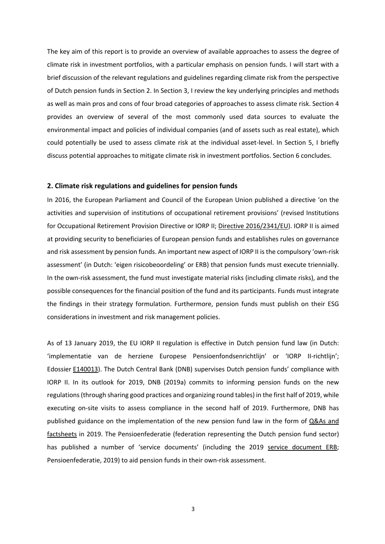The key aim of this report is to provide an overview of available approaches to assess the degree of climate risk in investment portfolios, with a particular emphasis on pension funds. I will start with a brief discussion of the relevant regulations and guidelines regarding climate risk from the perspective of Dutch pension funds in Section 2. In Section 3, I review the key underlying principles and methods as well as main pros and cons of four broad categories of approaches to assess climate risk. Section 4 provides an overview of several of the most commonly used data sources to evaluate the environmental impact and policies of individual companies (and of assets such as real estate), which could potentially be used to assess climate risk at the individual asset-level. In Section 5, I briefly discuss potential approaches to mitigate climate risk in investment portfolios. Section 6 concludes.

#### **2. Climate risk regulations and guidelines for pension funds**

In 2016, the European Parliament and Council of the European Union published a directive 'on the activities and supervision of institutions of occupational retirement provisions' (revised Institutions for Occupational Retirement Provision Directive or IORP II; Directive 2016/2341/EU). IORP II is aimed at providing security to beneficiaries of European pension funds and establishes rules on governance and risk assessment by pension funds. An important new aspect of IORP II is the compulsory 'own-risk assessment' (in Dutch: 'eigen risicobeoordeling' or ERB) that pension funds must execute triennially. In the own-risk assessment, the fund must investigate material risks (including climate risks), and the possible consequences for the financial position of the fund and its participants. Funds must integrate the findings in their strategy formulation. Furthermore, pension funds must publish on their ESG considerations in investment and risk management policies.

As of 13 January 2019, the EU IORP II regulation is effective in Dutch pension fund law (in Dutch: 'implementatie van de herziene Europese Pensioenfondsenrichtlijn' or 'IORP II-richtlijn'; Edossier E140013). The Dutch Central Bank (DNB) supervises Dutch pension funds' compliance with IORP II. In its outlook for 2019, DNB (2019a) commits to informing pension funds on the new regulations(through sharing good practices and organizing round tables) in the first half of 2019, while executing on-site visits to assess compliance in the second half of 2019. Furthermore, DNB has published guidance on the implementation of the new pension fund law in the form of Q&As and factsheets in 2019. The Pensioenfederatie (federation representing the Dutch pension fund sector) has published a number of 'service documents' (including the 2019 service document ERB; Pensioenfederatie, 2019) to aid pension funds in their own-risk assessment.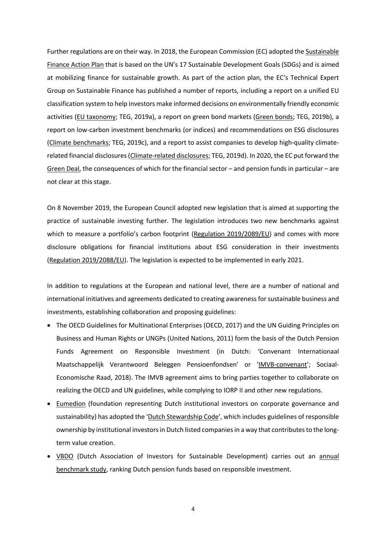Further regulations are on their way. In 2018, the European Commission (EC) adopted the Sustainable Finance Action Plan that is based on the UN's 17 Sustainable Development Goals (SDGs) and is aimed at mobilizing finance for sustainable growth. As part of the action plan, the EC's Technical Expert Group on Sustainable Finance has published a number of reports, including a report on a unified EU classification system to help investors make informed decisions on environmentally friendly economic activities (EU taxonomy; TEG, 2019a), a report on green bond markets (Green bonds; TEG, 2019b), a report on low-carbon investment benchmarks (or indices) and recommendations on ESG disclosures (Climate benchmarks; TEG, 2019c), and a report to assist companies to develop high-quality climaterelated financial disclosures (Climate-related disclosures; TEG, 2019d). In 2020, the EC put forward the Green Deal, the consequences of which for the financial sector – and pension funds in particular – are not clear at this stage.

On 8 November 2019, the European Council adopted new legislation that is aimed at supporting the practice of sustainable investing further. The legislation introduces two new benchmarks against which to measure a portfolio's carbon footprint (Regulation 2019/2089/EU) and comes with more disclosure obligations for financial institutions about ESG consideration in their investments (Regulation 2019/2088/EU). The legislation is expected to be implemented in early 2021.

In addition to regulations at the European and national level, there are a number of national and international initiatives and agreements dedicated to creating awareness for sustainable business and investments, establishing collaboration and proposing guidelines:

- The OECD Guidelines for Multinational Enterprises (OECD, 2017) and the UN Guiding Principles on Business and Human Rights or UNGPs (United Nations, 2011) form the basis of the Dutch Pension Funds Agreement on Responsible Investment (in Dutch: 'Convenant Internationaal Maatschappelijk Verantwoord Beleggen Pensioenfondsen' or 'IMVB-convenant'; Sociaal-Economische Raad, 2018). The IMVB agreement aims to bring parties together to collaborate on realizing the OECD and UN guidelines, while complying to IORP II and other new regulations.
- Eumedion (foundation representing Dutch institutional investors on corporate governance and sustainability) has adopted the 'Dutch Stewardship Code', which includes guidelines of responsible ownership by institutional investors in Dutch listed companiesin a way that contributes to the longterm value creation.
- VBDO (Dutch Association of Investors for Sustainable Development) carries out an annual benchmark study, ranking Dutch pension funds based on responsible investment.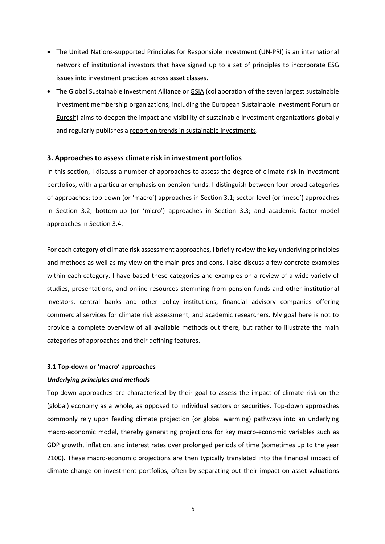- The United Nations-supported Principles for Responsible Investment (UN-PRI) is an international network of institutional investors that have signed up to a set of principles to incorporate ESG issues into investment practices across asset classes.
- The Global Sustainable Investment Alliance or GSIA (collaboration of the seven largest sustainable investment membership organizations, including the European Sustainable Investment Forum or Eurosif) aims to deepen the impact and visibility of sustainable investment organizations globally and regularly publishes a report on trends in sustainable investments.

#### **3. Approaches to assess climate risk in investment portfolios**

In this section, I discuss a number of approaches to assess the degree of climate risk in investment portfolios, with a particular emphasis on pension funds. I distinguish between four broad categories of approaches: top-down (or 'macro') approaches in Section 3.1; sector-level (or 'meso') approaches in Section 3.2; bottom-up (or 'micro') approaches in Section 3.3; and academic factor model approaches in Section 3.4.

For each category of climate risk assessment approaches, I briefly review the key underlying principles and methods as well as my view on the main pros and cons. I also discuss a few concrete examples within each category. I have based these categories and examples on a review of a wide variety of studies, presentations, and online resources stemming from pension funds and other institutional investors, central banks and other policy institutions, financial advisory companies offering commercial services for climate risk assessment, and academic researchers. My goal here is not to provide a complete overview of all available methods out there, but rather to illustrate the main categories of approaches and their defining features.

#### **3.1 Top-down or 'macro' approaches**

#### *Underlying principles and methods*

Top-down approaches are characterized by their goal to assess the impact of climate risk on the (global) economy as a whole, as opposed to individual sectors or securities. Top-down approaches commonly rely upon feeding climate projection (or global warming) pathways into an underlying macro-economic model, thereby generating projections for key macro-economic variables such as GDP growth, inflation, and interest rates over prolonged periods of time (sometimes up to the year 2100). These macro-economic projections are then typically translated into the financial impact of climate change on investment portfolios, often by separating out their impact on asset valuations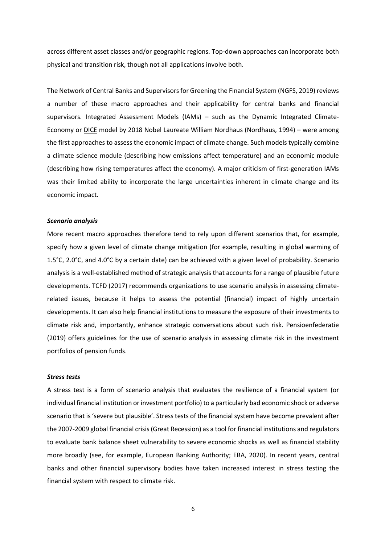across different asset classes and/or geographic regions. Top-down approaches can incorporate both physical and transition risk, though not all applications involve both.

The Network of Central Banks and Supervisors for Greening the Financial System (NGFS, 2019) reviews a number of these macro approaches and their applicability for central banks and financial supervisors. Integrated Assessment Models (IAMs) – such as the Dynamic Integrated Climate-Economy or DICE model by 2018 Nobel Laureate William Nordhaus (Nordhaus, 1994) – were among the first approaches to assess the economic impact of climate change. Such models typically combine a climate science module (describing how emissions affect temperature) and an economic module (describing how rising temperatures affect the economy). A major criticism of first-generation IAMs was their limited ability to incorporate the large uncertainties inherent in climate change and its economic impact.

#### *Scenario analysis*

More recent macro approaches therefore tend to rely upon different scenarios that, for example, specify how a given level of climate change mitigation (for example, resulting in global warming of 1.5°C, 2.0°C, and 4.0°C by a certain date) can be achieved with a given level of probability. Scenario analysis is a well-established method of strategic analysis that accounts for a range of plausible future developments. TCFD (2017) recommends organizations to use scenario analysis in assessing climaterelated issues, because it helps to assess the potential (financial) impact of highly uncertain developments. It can also help financial institutions to measure the exposure of their investments to climate risk and, importantly, enhance strategic conversations about such risk. Pensioenfederatie (2019) offers guidelines for the use of scenario analysis in assessing climate risk in the investment portfolios of pension funds.

#### *Stress tests*

A stress test is a form of scenario analysis that evaluates the resilience of a financial system (or individual financial institution or investment portfolio) to a particularly bad economic shock or adverse scenario that is 'severe but plausible'. Stress tests of the financial system have become prevalent after the 2007-2009 global financial crisis (Great Recession) as a tool for financial institutions and regulators to evaluate bank balance sheet vulnerability to severe economic shocks as well as financial stability more broadly (see, for example, European Banking Authority; EBA, 2020). In recent years, central banks and other financial supervisory bodies have taken increased interest in stress testing the financial system with respect to climate risk.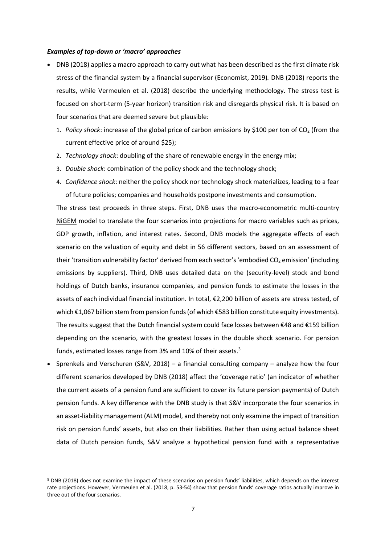#### *Examples of top-down or 'macro' approaches*

- DNB (2018) applies a macro approach to carry out what has been described as the first climate risk stress of the financial system by a financial supervisor (Economist, 2019)*.* DNB (2018) reports the results, while Vermeulen et al. (2018) describe the underlying methodology. The stress test is focused on short-term (5-year horizon) transition risk and disregards physical risk. It is based on four scenarios that are deemed severe but plausible:
	- 1. *Policy shock*: increase of the global price of carbon emissions by \$100 per ton of CO<sub>2</sub> (from the current effective price of around \$25);
	- 2. *Technology shock*: doubling of the share of renewable energy in the energy mix;
	- 3. *Double shock*: combination of the policy shock and the technology shock;
	- 4. *Confidence shock*: neither the policy shock nor technology shock materializes, leading to a fear of future policies; companies and households postpone investments and consumption.

The stress test proceeds in three steps. First, DNB uses the macro-econometric multi-country NIGEM model to translate the four scenarios into projections for macro variables such as prices, GDP growth, inflation, and interest rates. Second, DNB models the aggregate effects of each scenario on the valuation of equity and debt in 56 different sectors, based on an assessment of their 'transition vulnerability factor' derived from each sector's 'embodied CO<sub>2</sub> emission' (including emissions by suppliers). Third, DNB uses detailed data on the (security-level) stock and bond holdings of Dutch banks, insurance companies, and pension funds to estimate the losses in the assets of each individual financial institution. In total, €2,200 billion of assets are stress tested, of which €1,067 billion stem from pension funds (of which €583 billion constitute equity investments). The results suggest that the Dutch financial system could face losses between €48 and €159 billion depending on the scenario, with the greatest losses in the double shock scenario. For pension funds, estimated losses range from 3% and 10% of their assets.<sup>3</sup>

• Sprenkels and Verschuren (S&V, 2018) – a financial consulting company – analyze how the four different scenarios developed by DNB (2018) affect the 'coverage ratio' (an indicator of whether the current assets of a pension fund are sufficient to cover its future pension payments) of Dutch pension funds. A key difference with the DNB study is that S&V incorporate the four scenarios in an asset-liability management (ALM) model, and thereby not only examine the impact of transition risk on pension funds' assets, but also on their liabilities. Rather than using actual balance sheet data of Dutch pension funds, S&V analyze a hypothetical pension fund with a representative

<sup>&</sup>lt;sup>3</sup> DNB (2018) does not examine the impact of these scenarios on pension funds' liabilities, which depends on the interest rate projections. However, Vermeulen et al. (2018, p. 53-54) show that pension funds' coverage ratios actually improve in three out of the four scenarios.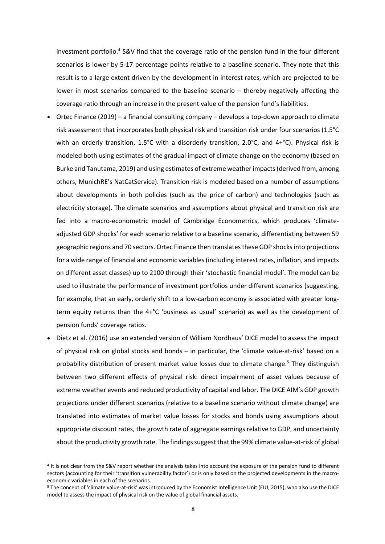investment portfolio.<sup>4</sup> S&V find that the coverage ratio of the pension fund in the four different scenarios is lower by 5-17 percentage points relative to a baseline scenario. They note that this result is to a large extent driven by the development in interest rates, which are projected to be lower in most scenarios compared to the baseline scenario – thereby negatively affecting the coverage ratio through an increase in the present value of the pension fund's liabilities.

- Ortec Finance (2019) a financial consulting company develops a top-down approach to climate risk assessment that incorporates both physical risk and transition risk under four scenarios (1.5°C with an orderly transition, 1.5°C with a disorderly transition, 2.0°C, and 4+°C). Physical risk is modeled both using estimates of the gradual impact of climate change on the economy (based on Burke and Tanutama, 2019) and using estimates of extreme weather impacts (derived from, among others, MunichRE's NatCatService). Transition risk is modeled based on a number of assumptions about developments in both policies (such as the price of carbon) and technologies (such as electricity storage). The climate scenarios and assumptions about physical and transition risk are fed into a macro-econometric model of Cambridge Econometrics, which produces 'climateadjusted GDP shocks' for each scenario relative to a baseline scenario, differentiating between 59 geographic regions and 70 sectors. Ortec Finance then translates these GDP shocks into projections for a wide range of financial and economic variables (including interest rates, inflation, and impacts on different asset classes) up to 2100 through their 'stochastic financial model'. The model can be used to illustrate the performance of investment portfolios under different scenarios (suggesting, for example, that an early, orderly shift to a low-carbon economy is associated with greater longterm equity returns than the 4+°C 'business as usual' scenario) as well as the development of pension funds' coverage ratios.
- Dietz et al. (2016) use an extended version of William Nordhaus' DICE model to assess the impact of physical risk on global stocks and bonds – in particular, the 'climate value-at-risk' based on a probability distribution of present market value losses due to climate change.<sup>5</sup> They distinguish between two different effects of physical risk: direct impairment of asset values because of extreme weather events and reduced productivity of capital and labor. The DICE AIM's GDP growth projections under different scenarios (relative to a baseline scenario without climate change) are translated into estimates of market value losses for stocks and bonds using assumptions about appropriate discount rates, the growth rate of aggregate earnings relative to GDP, and uncertainty about the productivity growth rate. The findings suggest that the 99% climate value-at-risk of global

<sup>4</sup> It is not clear from the S&V report whether the analysis takes into account the exposure of the pension fund to different sectors (accounting for their 'transition vulnerability factor') or is only based on the projected developments in the macroeconomic variables in each of the scenarios.

<sup>5</sup> The concept of 'climate value-at-risk' was introduced by the Economist Intelligence Unit (EIU, 2015), who also use the DICE model to assess the impact of physical risk on the value of global financial assets.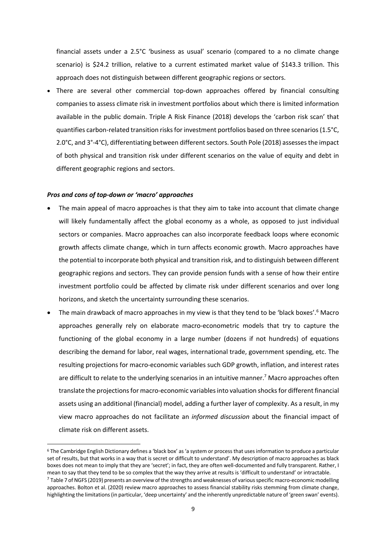financial assets under a 2.5°C 'business as usual' scenario (compared to a no climate change scenario) is \$24.2 trillion, relative to a current estimated market value of \$143.3 trillion. This approach does not distinguish between different geographic regions or sectors.

• There are several other commercial top-down approaches offered by financial consulting companies to assess climate risk in investment portfolios about which there is limited information available in the public domain. Triple A Risk Finance (2018) develops the 'carbon risk scan' that quantifies carbon-related transition risks for investment portfolios based on three scenarios (1.5°C, 2.0°C, and 3°-4°C), differentiating between different sectors. South Pole (2018) assesses the impact of both physical and transition risk under different scenarios on the value of equity and debt in different geographic regions and sectors.

#### *Pros and cons of top-down or 'macro' approaches*

- The main appeal of macro approaches is that they aim to take into account that climate change will likely fundamentally affect the global economy as a whole, as opposed to just individual sectors or companies. Macro approaches can also incorporate feedback loops where economic growth affects climate change, which in turn affects economic growth. Macro approaches have the potential to incorporate both physical and transition risk, and to distinguish between different geographic regions and sectors. They can provide pension funds with a sense of how their entire investment portfolio could be affected by climate risk under different scenarios and over long horizons, and sketch the uncertainty surrounding these scenarios.
- The main drawback of macro approaches in my view is that they tend to be 'black boxes'.<sup>6</sup> Macro approaches generally rely on elaborate macro-econometric models that try to capture the functioning of the global economy in a large number (dozens if not hundreds) of equations describing the demand for labor, real wages, international trade, government spending, etc. The resulting projections for macro-economic variables such GDP growth, inflation, and interest rates are difficult to relate to the underlying scenarios in an intuitive manner.<sup>7</sup> Macro approaches often translate the projections for macro-economic variables into valuation shocks for different financial assets using an additional (financial) model, adding a further layer of complexity. As a result, in my view macro approaches do not facilitate an *informed discussion* about the financial impact of climate risk on different assets.

<sup>6</sup> The Cambridge English Dictionary defines a 'black box' as 'a system or process that uses information to produce a particular set of results, but that works in a way that is secret or difficult to understand'. My description of macro approaches as black boxes does not mean to imply that they are 'secret'; in fact, they are often well-documented and fully transparent. Rather, I mean to say that they tend to be so complex that the way they arrive at results is 'difficult to understand' or intractable.

 $7$  Table 7 of NGFS (2019) presents an overview of the strengths and weaknesses of various specific macro-economic modelling approaches. Bolton et al. (2020) review macro approaches to assess financial stability risks stemming from climate change, highlighting the limitations (in particular, 'deep uncertainty' and the inherently unpredictable nature of 'green swan' events).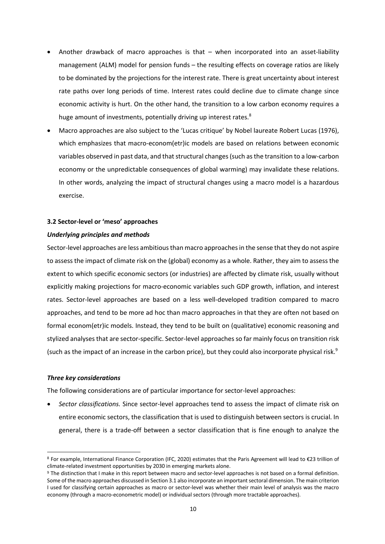- Another drawback of macro approaches is that when incorporated into an asset-liability management (ALM) model for pension funds – the resulting effects on coverage ratios are likely to be dominated by the projections for the interest rate. There is great uncertainty about interest rate paths over long periods of time. Interest rates could decline due to climate change since economic activity is hurt. On the other hand, the transition to a low carbon economy requires a huge amount of investments, potentially driving up interest rates.<sup>8</sup>
- Macro approaches are also subject to the 'Lucas critique' by Nobel laureate Robert Lucas (1976), which emphasizes that macro-econom(etr)ic models are based on relations between economic variables observed in past data, and that structural changes (such as the transition to a low-carbon economy or the unpredictable consequences of global warming) may invalidate these relations. In other words, analyzing the impact of structural changes using a macro model is a hazardous exercise.

#### **3.2 Sector-level or 'meso' approaches**

#### *Underlying principles and methods*

Sector-level approaches are less ambitious than macro approaches in the sense that they do not aspire to assess the impact of climate risk on the (global) economy as a whole. Rather, they aim to assess the extent to which specific economic sectors (or industries) are affected by climate risk, usually without explicitly making projections for macro-economic variables such GDP growth, inflation, and interest rates. Sector-level approaches are based on a less well-developed tradition compared to macro approaches, and tend to be more ad hoc than macro approaches in that they are often not based on formal econom(etr)ic models. Instead, they tend to be built on (qualitative) economic reasoning and stylized analyses that are sector-specific. Sector-level approaches so far mainly focus on transition risk (such as the impact of an increase in the carbon price), but they could also incorporate physical risk.<sup>9</sup>

#### *Three key considerations*

The following considerations are of particular importance for sector-level approaches:

• *Sector classifications.* Since sector-level approaches tend to assess the impact of climate risk on entire economic sectors, the classification that is used to distinguish between sectors is crucial. In general, there is a trade-off between a sector classification that is fine enough to analyze the

<sup>8</sup> For example, International Finance Corporation (IFC, 2020) estimates that the Paris Agreement will lead to €23 trillion of climate-related investment opportunities by 2030 in emerging markets alone.

<sup>9</sup> The distinction that I make in this report between macro and sector-level approaches is not based on a formal definition. Some of the macro approaches discussed in Section 3.1 also incorporate an important sectoral dimension. The main criterion I used for classifying certain approaches as macro or sector-level was whether their main level of analysis was the macro economy (through a macro-econometric model) or individual sectors (through more tractable approaches).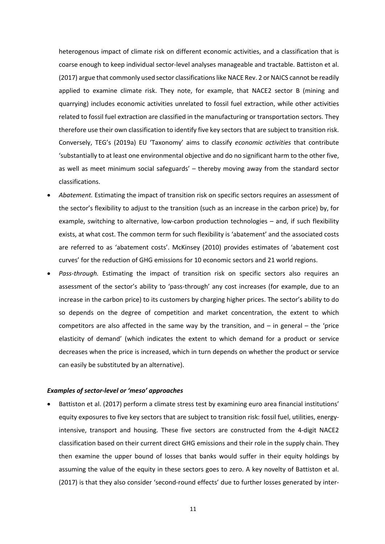heterogenous impact of climate risk on different economic activities, and a classification that is coarse enough to keep individual sector-level analyses manageable and tractable. Battiston et al. (2017) argue that commonly used sector classifications like NACE Rev. 2 or NAICS cannot be readily applied to examine climate risk. They note, for example, that NACE2 sector B (mining and quarrying) includes economic activities unrelated to fossil fuel extraction, while other activities related to fossil fuel extraction are classified in the manufacturing or transportation sectors. They therefore use their own classification to identify five key sectors that are subject to transition risk. Conversely, TEG's (2019a) EU 'Taxonomy' aims to classify *economic activities* that contribute 'substantially to at least one environmental objective and do no significant harm to the other five, as well as meet minimum social safeguards' – thereby moving away from the standard sector classifications.

- *Abatement.* Estimating the impact of transition risk on specific sectors requires an assessment of the sector's flexibility to adjust to the transition (such as an increase in the carbon price) by, for example, switching to alternative, low-carbon production technologies – and, if such flexibility exists, at what cost. The common term for such flexibility is 'abatement' and the associated costs are referred to as 'abatement costs'. McKinsey (2010) provides estimates of 'abatement cost curves' for the reduction of GHG emissions for 10 economic sectors and 21 world regions.
- *Pass-through.* Estimating the impact of transition risk on specific sectors also requires an assessment of the sector's ability to 'pass-through' any cost increases (for example, due to an increase in the carbon price) to its customers by charging higher prices. The sector's ability to do so depends on the degree of competition and market concentration, the extent to which competitors are also affected in the same way by the transition, and  $-$  in general  $-$  the 'price elasticity of demand' (which indicates the extent to which demand for a product or service decreases when the price is increased, which in turn depends on whether the product or service can easily be substituted by an alternative).

#### *Examples of sector-level or 'meso' approaches*

• Battiston et al. (2017) perform a climate stress test by examining euro area financial institutions' equity exposures to five key sectors that are subject to transition risk: fossil fuel, utilities, energyintensive, transport and housing. These five sectors are constructed from the 4-digit NACE2 classification based on their current direct GHG emissions and their role in the supply chain. They then examine the upper bound of losses that banks would suffer in their equity holdings by assuming the value of the equity in these sectors goes to zero. A key novelty of Battiston et al. (2017) is that they also consider 'second-round effects' due to further losses generated by inter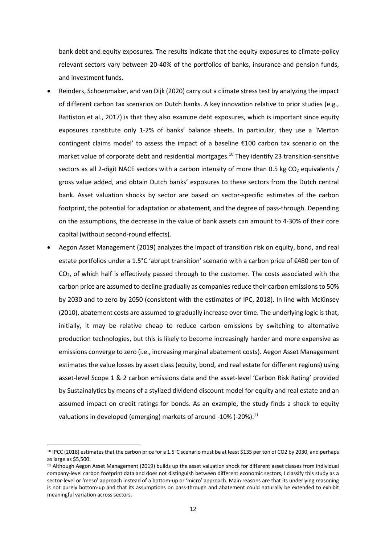bank debt and equity exposures. The results indicate that the equity exposures to climate-policy relevant sectors vary between 20-40% of the portfolios of banks, insurance and pension funds, and investment funds.

- Reinders, Schoenmaker, and van Dijk (2020) carry out a climate stress test by analyzing the impact of different carbon tax scenarios on Dutch banks. A key innovation relative to prior studies (e.g., Battiston et al., 2017) is that they also examine debt exposures, which is important since equity exposures constitute only 1-2% of banks' balance sheets. In particular, they use a 'Merton contingent claims model' to assess the impact of a baseline €100 carbon tax scenario on the market value of corporate debt and residential mortgages.<sup>10</sup> They identify 23 transition-sensitive sectors as all 2-digit NACE sectors with a carbon intensity of more than 0.5 kg  $CO<sub>2</sub>$  equivalents / gross value added, and obtain Dutch banks' exposures to these sectors from the Dutch central bank. Asset valuation shocks by sector are based on sector-specific estimates of the carbon footprint, the potential for adaptation or abatement, and the degree of pass-through. Depending on the assumptions, the decrease in the value of bank assets can amount to 4-30% of their core capital (without second-round effects).
- Aegon Asset Management (2019) analyzes the impact of transition risk on equity, bond, and real estate portfolios under a 1.5°C 'abrupt transition' scenario with a carbon price of €480 per ton of CO2, of which half is effectively passed through to the customer. The costs associated with the carbon price are assumed to decline gradually as companies reduce their carbon emissions to 50% by 2030 and to zero by 2050 (consistent with the estimates of IPC, 2018). In line with McKinsey (2010), abatement costs are assumed to gradually increase over time. The underlying logic is that, initially, it may be relative cheap to reduce carbon emissions by switching to alternative production technologies, but this is likely to become increasingly harder and more expensive as emissions converge to zero (i.e., increasing marginal abatement costs). Aegon Asset Management estimates the value losses by asset class (equity, bond, and real estate for different regions) using asset-level Scope 1 & 2 carbon emissions data and the asset-level 'Carbon Risk Rating' provided by Sustainalytics by means of a stylized dividend discount model for equity and real estate and an assumed impact on credit ratings for bonds. As an example, the study finds a shock to equity valuations in developed (emerging) markets of around -10% (-20%). $^{11}$

<sup>10</sup> IPCC (2018) estimates that the carbon price for a 1.5°C scenario must be at least \$135 per ton of CO2 by 2030, and perhaps as large as \$5,500.

<sup>11</sup> Although Aegon Asset Management (2019) builds up the asset valuation shock for different asset classes from individual company-level carbon footprint data and does not distinguish between different economic sectors, I classify this study as a sector-level or 'meso' approach instead of a bottom-up or 'micro' approach. Main reasons are that its underlying reasoning is not purely bottom-up and that its assumptions on pass-through and abatement could naturally be extended to exhibit meaningful variation across sectors.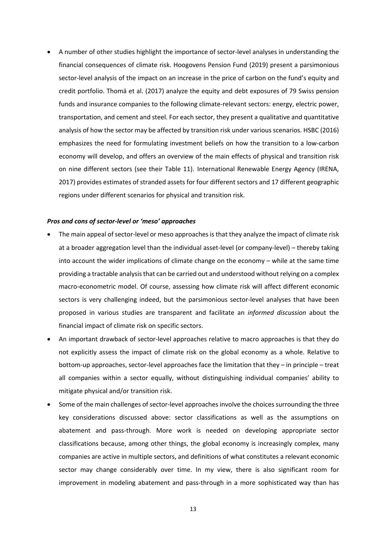• A number of other studies highlight the importance of sector-level analyses in understanding the financial consequences of climate risk. Hoogovens Pension Fund (2019) present a parsimonious sector-level analysis of the impact on an increase in the price of carbon on the fund's equity and credit portfolio. Thomä et al. (2017) analyze the equity and debt exposures of 79 Swiss pension funds and insurance companies to the following climate-relevant sectors: energy, electric power, transportation, and cement and steel. For each sector, they present a qualitative and quantitative analysis of how the sector may be affected by transition risk under various scenarios. HSBC (2016) emphasizes the need for formulating investment beliefs on how the transition to a low-carbon economy will develop, and offers an overview of the main effects of physical and transition risk on nine different sectors (see their Table 11). International Renewable Energy Agency (IRENA, 2017) provides estimates of stranded assets for four different sectors and 17 different geographic regions under different scenarios for physical and transition risk.

#### *Pros and cons of sector-level or 'meso' approaches*

- The main appeal of sector-level or meso approaches is that they analyze the impact of climate risk at a broader aggregation level than the individual asset-level (or company-level) – thereby taking into account the wider implications of climate change on the economy – while at the same time providing a tractable analysis that can be carried out and understood without relying on a complex macro-econometric model. Of course, assessing how climate risk will affect different economic sectors is very challenging indeed, but the parsimonious sector-level analyses that have been proposed in various studies are transparent and facilitate an *informed discussion* about the financial impact of climate risk on specific sectors.
- An important drawback of sector-level approaches relative to macro approaches is that they do not explicitly assess the impact of climate risk on the global economy as a whole. Relative to bottom-up approaches, sector-level approaches face the limitation that they – in principle – treat all companies within a sector equally, without distinguishing individual companies' ability to mitigate physical and/or transition risk.
- Some of the main challenges of sector-level approaches involve the choices surrounding the three key considerations discussed above: sector classifications as well as the assumptions on abatement and pass-through. More work is needed on developing appropriate sector classifications because, among other things, the global economy is increasingly complex, many companies are active in multiple sectors, and definitions of what constitutes a relevant economic sector may change considerably over time. In my view, there is also significant room for improvement in modeling abatement and pass-through in a more sophisticated way than has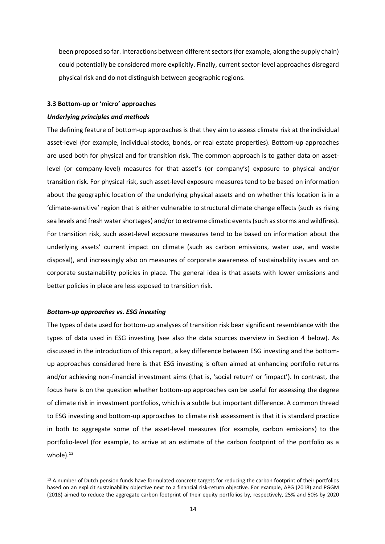been proposed so far. Interactions between different sectors (for example, along the supply chain) could potentially be considered more explicitly. Finally, current sector-level approaches disregard physical risk and do not distinguish between geographic regions.

#### **3.3 Bottom-up or 'micro' approaches**

#### *Underlying principles and methods*

The defining feature of bottom-up approaches is that they aim to assess climate risk at the individual asset-level (for example, individual stocks, bonds, or real estate properties). Bottom-up approaches are used both for physical and for transition risk. The common approach is to gather data on assetlevel (or company-level) measures for that asset's (or company's) exposure to physical and/or transition risk. For physical risk, such asset-level exposure measures tend to be based on information about the geographic location of the underlying physical assets and on whether this location is in a 'climate-sensitive' region that is either vulnerable to structural climate change effects (such as rising sea levels and fresh water shortages) and/or to extreme climatic events (such as storms and wildfires). For transition risk, such asset-level exposure measures tend to be based on information about the underlying assets' current impact on climate (such as carbon emissions, water use, and waste disposal), and increasingly also on measures of corporate awareness of sustainability issues and on corporate sustainability policies in place. The general idea is that assets with lower emissions and better policies in place are less exposed to transition risk.

#### *Bottom-up approaches vs. ESG investing*

The types of data used for bottom-up analyses of transition risk bear significant resemblance with the types of data used in ESG investing (see also the data sources overview in Section 4 below). As discussed in the introduction of this report, a key difference between ESG investing and the bottomup approaches considered here is that ESG investing is often aimed at enhancing portfolio returns and/or achieving non-financial investment aims (that is, 'social return' or 'impact'). In contrast, the focus here is on the question whether bottom-up approaches can be useful for assessing the degree of climate risk in investment portfolios, which is a subtle but important difference. A common thread to ESG investing and bottom-up approaches to climate risk assessment is that it is standard practice in both to aggregate some of the asset-level measures (for example, carbon emissions) to the portfolio-level (for example, to arrive at an estimate of the carbon footprint of the portfolio as a whole $).<sup>12</sup>$ 

<sup>&</sup>lt;sup>12</sup> A number of Dutch pension funds have formulated concrete targets for reducing the carbon footprint of their portfolios based on an explicit sustainability objective next to a financial risk-return objective. For example, APG (2018) and PGGM (2018) aimed to reduce the aggregate carbon footprint of their equity portfolios by, respectively, 25% and 50% by 2020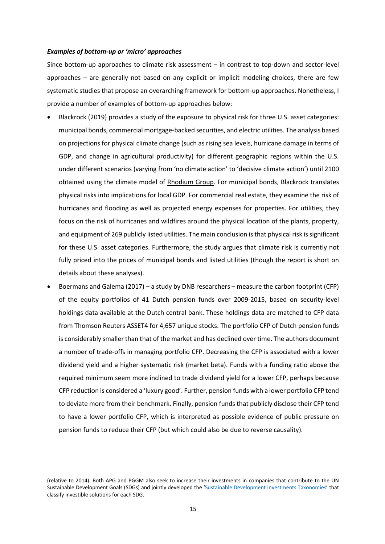#### *Examples of bottom-up or 'micro' approaches*

Since bottom-up approaches to climate risk assessment – in contrast to top-down and sector-level approaches – are generally not based on any explicit or implicit modeling choices, there are few systematic studies that propose an overarching framework for bottom-up approaches. Nonetheless, I provide a number of examples of bottom-up approaches below:

- Blackrock (2019) provides a study of the exposure to physical risk for three U.S. asset categories: municipal bonds, commercial mortgage-backed securities, and electric utilities. The analysis based on projections for physical climate change (such as rising sea levels, hurricane damage in terms of GDP, and change in agricultural productivity) for different geographic regions within the U.S. under different scenarios (varying from 'no climate action' to 'decisive climate action') until 2100 obtained using the climate model of Rhodium Group. For municipal bonds, Blackrock translates physical risks into implications for local GDP. For commercial real estate, they examine the risk of hurricanes and flooding as well as projected energy expenses for properties. For utilities, they focus on the risk of hurricanes and wildfires around the physical location of the plants, property, and equipment of 269 publicly listed utilities. The main conclusion is that physical risk is significant for these U.S. asset categories. Furthermore, the study argues that climate risk is currently not fully priced into the prices of municipal bonds and listed utilities (though the report is short on details about these analyses).
- Boermans and Galema (2017) a study by DNB researchers measure the carbon footprint (CFP) of the equity portfolios of 41 Dutch pension funds over 2009-2015, based on security-level holdings data available at the Dutch central bank. These holdings data are matched to CFP data from Thomson Reuters ASSET4 for 4,657 unique stocks. The portfolio CFP of Dutch pension funds is considerably smaller than that of the market and has declined over time. The authors document a number of trade-offs in managing portfolio CFP. Decreasing the CFP is associated with a lower dividend yield and a higher systematic risk (market beta). Funds with a funding ratio above the required minimum seem more inclined to trade dividend yield for a lower CFP, perhaps because CFP reduction is considered a 'luxury good'. Further, pension funds with a lower portfolio CFP tend to deviate more from their benchmark. Finally, pension funds that publicly disclose their CFP tend to have a lower portfolio CFP, which is interpreted as possible evidence of public pressure on pension funds to reduce their CFP (but which could also be due to reverse causality).

<sup>(</sup>relative to 2014). Both APG and PGGM also seek to increase their investments in companies that contribute to the UN Sustainable Development Goals (SDGs) and jointly developed the 'Sustainable Development Investments Taxonomies' that classify investible solutions for each SDG.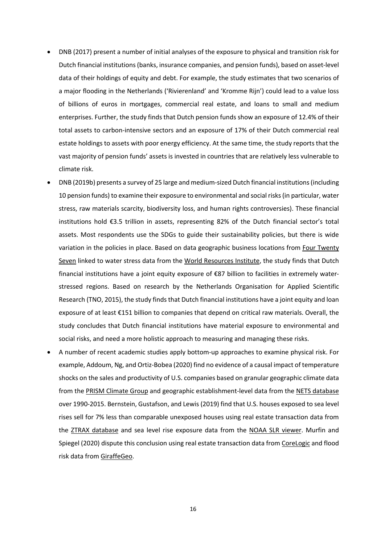- DNB (2017) present a number of initial analyses of the exposure to physical and transition risk for Dutch financial institutions (banks, insurance companies, and pension funds), based on asset-level data of their holdings of equity and debt. For example, the study estimates that two scenarios of a major flooding in the Netherlands ('Rivierenland' and 'Kromme Rijn') could lead to a value loss of billions of euros in mortgages, commercial real estate, and loans to small and medium enterprises. Further, the study finds that Dutch pension funds show an exposure of 12.4% of their total assets to carbon-intensive sectors and an exposure of 17% of their Dutch commercial real estate holdings to assets with poor energy efficiency. At the same time, the study reports that the vast majority of pension funds' assets is invested in countries that are relatively less vulnerable to climate risk.
- DNB (2019b) presents a survey of 25 large and medium-sized Dutch financial institutions (including 10 pension funds) to examine their exposure to environmental and social risks(in particular, water stress, raw materials scarcity, biodiversity loss, and human rights controversies). These financial institutions hold €3.5 trillion in assets, representing 82% of the Dutch financial sector's total assets. Most respondents use the SDGs to guide their sustainability policies, but there is wide variation in the policies in place. Based on data geographic business locations from Four Twenty Seven linked to water stress data from the World Resources Institute, the study finds that Dutch financial institutions have a joint equity exposure of €87 billion to facilities in extremely waterstressed regions. Based on research by the Netherlands Organisation for Applied Scientific Research (TNO, 2015), the study finds that Dutch financial institutions have a joint equity and loan exposure of at least €151 billion to companies that depend on critical raw materials. Overall, the study concludes that Dutch financial institutions have material exposure to environmental and social risks, and need a more holistic approach to measuring and managing these risks.
- A number of recent academic studies apply bottom-up approaches to examine physical risk. For example, Addoum, Ng, and Ortiz-Bobea (2020) find no evidence of a causal impact of temperature shocks on the sales and productivity of U.S. companies based on granular geographic climate data from the PRISM Climate Group and geographic establishment-level data from the NETS database over 1990-2015. Bernstein, Gustafson, and Lewis (2019) find that U.S. houses exposed to sea level rises sell for 7% less than comparable unexposed houses using real estate transaction data from the ZTRAX database and sea level rise exposure data from the NOAA SLR viewer. Murfin and Spiegel (2020) dispute this conclusion using real estate transaction data from CoreLogic and flood risk data from GiraffeGeo.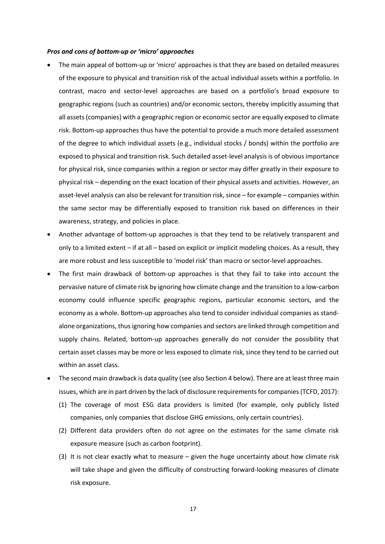#### *Pros and cons of bottom-up or 'micro' approaches*

- The main appeal of bottom-up or 'micro' approaches is that they are based on detailed measures of the exposure to physical and transition risk of the actual individual assets within a portfolio. In contrast, macro and sector-level approaches are based on a portfolio's broad exposure to geographic regions (such as countries) and/or economic sectors, thereby implicitly assuming that all assets (companies) with a geographic region or economic sector are equally exposed to climate risk. Bottom-up approaches thus have the potential to provide a much more detailed assessment of the degree to which individual assets (e.g., individual stocks / bonds) within the portfolio are exposed to physical and transition risk. Such detailed asset-level analysis is of obvious importance for physical risk, since companies within a region or sector may differ greatly in their exposure to physical risk – depending on the exact location of their physical assets and activities. However, an asset-level analysis can also be relevant for transition risk, since – for example – companies within the same sector may be differentially exposed to transition risk based on differences in their awareness, strategy, and policies in place.
- Another advantage of bottom-up approaches is that they tend to be relatively transparent and only to a limited extent – if at all – based on explicit or implicit modeling choices. As a result, they are more robust and less susceptible to 'model risk' than macro or sector-level approaches.
- The first main drawback of bottom-up approaches is that they fail to take into account the pervasive nature of climate risk by ignoring how climate change and the transition to a low-carbon economy could influence specific geographic regions, particular economic sectors, and the economy as a whole. Bottom-up approaches also tend to consider individual companies as standalone organizations, thus ignoring how companies and sectors are linked through competition and supply chains. Related, bottom-up approaches generally do not consider the possibility that certain asset classes may be more or less exposed to climate risk, since they tend to be carried out within an asset class.
- The second main drawback is data quality (see also Section 4 below). There are at least three main issues, which are in part driven by the lack of disclosure requirements for companies (TCFD, 2017):
	- (1) The coverage of most ESG data providers is limited (for example, only publicly listed companies, only companies that disclose GHG emissions, only certain countries).
	- (2) Different data providers often do not agree on the estimates for the same climate risk exposure measure (such as carbon footprint).
	- (3) It is not clear exactly what to measure given the huge uncertainty about how climate risk will take shape and given the difficulty of constructing forward-looking measures of climate risk exposure.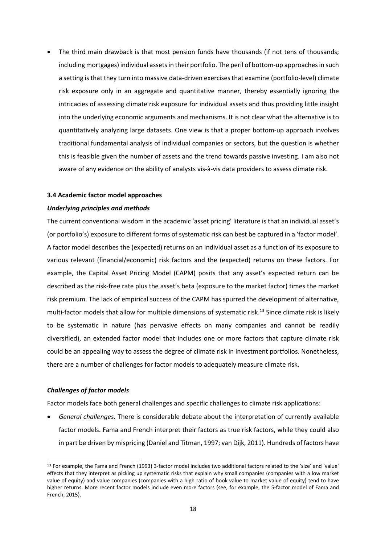• The third main drawback is that most pension funds have thousands (if not tens of thousands; including mortgages) individual assets in their portfolio. The peril of bottom-up approaches in such a setting is that they turn into massive data-driven exercises that examine (portfolio-level) climate risk exposure only in an aggregate and quantitative manner, thereby essentially ignoring the intricacies of assessing climate risk exposure for individual assets and thus providing little insight into the underlying economic arguments and mechanisms. It is not clear what the alternative isto quantitatively analyzing large datasets. One view is that a proper bottom-up approach involves traditional fundamental analysis of individual companies or sectors, but the question is whether this is feasible given the number of assets and the trend towards passive investing. I am also not aware of any evidence on the ability of analysts vis-à-vis data providers to assess climate risk.

#### **3.4 Academic factor model approaches**

#### *Underlying principles and methods*

The current conventional wisdom in the academic 'asset pricing' literature is that an individual asset's (or portfolio's) exposure to different forms of systematic risk can best be captured in a 'factor model'. A factor model describes the (expected) returns on an individual asset as a function of its exposure to various relevant (financial/economic) risk factors and the (expected) returns on these factors. For example, the Capital Asset Pricing Model (CAPM) posits that any asset's expected return can be described as the risk-free rate plus the asset's beta (exposure to the market factor) times the market risk premium. The lack of empirical success of the CAPM has spurred the development of alternative, multi-factor models that allow for multiple dimensions of systematic risk.<sup>13</sup> Since climate risk is likely to be systematic in nature (has pervasive effects on many companies and cannot be readily diversified), an extended factor model that includes one or more factors that capture climate risk could be an appealing way to assess the degree of climate risk in investment portfolios. Nonetheless, there are a number of challenges for factor models to adequately measure climate risk.

#### *Challenges of factor models*

Factor models face both general challenges and specific challenges to climate risk applications:

• *General challenges.* There is considerable debate about the interpretation of currently available factor models. Fama and French interpret their factors as true risk factors, while they could also in part be driven by mispricing (Daniel and Titman, 1997; van Dijk, 2011). Hundreds of factors have

<sup>13</sup> For example, the Fama and French (1993) 3-factor model includes two additional factors related to the 'size' and 'value' effects that they interpret as picking up systematic risks that explain why small companies (companies with a low market value of equity) and value companies (companies with a high ratio of book value to market value of equity) tend to have higher returns. More recent factor models include even more factors (see, for example, the 5-factor model of Fama and French, 2015).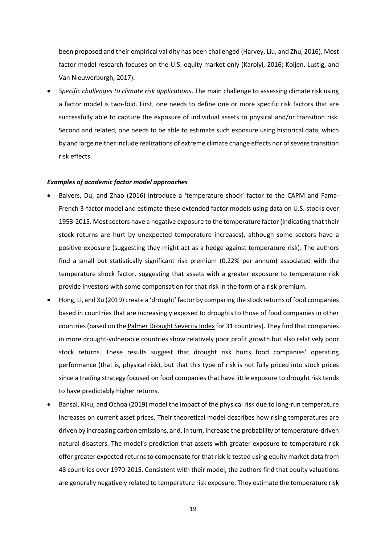been proposed and their empirical validity has been challenged (Harvey, Liu, and Zhu, 2016). Most factor model research focuses on the U.S. equity market only (Karolyi, 2016; Koijen, Lustig, and Van Nieuwerburgh, 2017).

• *Specific challenges to climate risk applications*. The main challenge to assessing climate risk using a factor model is two-fold. First, one needs to define one or more specific risk factors that are successfully able to capture the exposure of individual assets to physical and/or transition risk. Second and related, one needs to be able to estimate such exposure using historical data, which by and large neither include realizations of extreme climate change effects nor of severe transition risk effects.

#### *Examples of academic factor model approaches*

- Balvers, Du, and Zhao (2016) introduce a 'temperature shock' factor to the CAPM and Fama-French 3-factor model and estimate these extended factor models using data on U.S. stocks over 1953-2015. Most sectors have a negative exposure to the temperature factor (indicating that their stock returns are hurt by unexpected temperature increases), although some sectors have a positive exposure (suggesting they might act as a hedge against temperature risk). The authors find a small but statistically significant risk premium (0.22% per annum) associated with the temperature shock factor, suggesting that assets with a greater exposure to temperature risk provide investors with some compensation for that risk in the form of a risk premium.
- Hong, Li, and Xu (2019) create a 'drought' factor by comparing the stock returns of food companies based in countries that are increasingly exposed to droughts to those of food companies in other countries (based on the Palmer Drought Severity Index for 31 countries). They find that companies in more drought-vulnerable countries show relatively poor profit growth but also relatively poor stock returns. These results suggest that drought risk hurts food companies' operating performance (that is, physical risk), but that this type of risk is not fully priced into stock prices since a trading strategy focused on food companies that have little exposure to drought risk tends to have predictably higher returns.
- Bansal, Kiku, and Ochoa (2019) model the impact of the physical risk due to long-run temperature increases on current asset prices. Their theoretical model describes how rising temperatures are driven by increasing carbon emissions, and, in turn, increase the probability of temperature-driven natural disasters. The model's prediction that assets with greater exposure to temperature risk offer greater expected returns to compensate for that risk is tested using equity market data from 48 countries over 1970-2015. Consistent with their model, the authors find that equity valuations are generally negatively related to temperature risk exposure. They estimate the temperature risk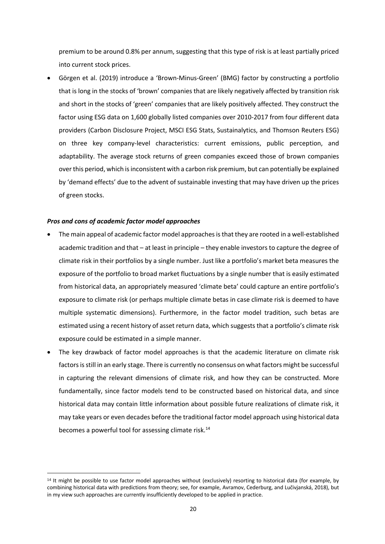premium to be around 0.8% per annum, suggesting that this type of risk is at least partially priced into current stock prices.

• Görgen et al. (2019) introduce a 'Brown-Minus-Green' (BMG) factor by constructing a portfolio that is long in the stocks of 'brown' companies that are likely negatively affected by transition risk and short in the stocks of 'green' companies that are likely positively affected. They construct the factor using ESG data on 1,600 globally listed companies over 2010-2017 from four different data providers (Carbon Disclosure Project, MSCI ESG Stats, Sustainalytics, and Thomson Reuters ESG) on three key company-level characteristics: current emissions, public perception, and adaptability. The average stock returns of green companies exceed those of brown companies over this period, which is inconsistent with a carbon risk premium, but can potentially be explained by 'demand effects' due to the advent of sustainable investing that may have driven up the prices of green stocks.

#### *Pros and cons of academic factor model approaches*

- The main appeal of academic factor model approachesis that they are rooted in a well-established academic tradition and that – at least in principle – they enable investors to capture the degree of climate risk in their portfolios by a single number. Just like a portfolio's market beta measures the exposure of the portfolio to broad market fluctuations by a single number that is easily estimated from historical data, an appropriately measured 'climate beta' could capture an entire portfolio's exposure to climate risk (or perhaps multiple climate betas in case climate risk is deemed to have multiple systematic dimensions). Furthermore, in the factor model tradition, such betas are estimated using a recent history of asset return data, which suggests that a portfolio's climate risk exposure could be estimated in a simple manner.
- The key drawback of factor model approaches is that the academic literature on climate risk factors is still in an early stage. There is currently no consensus on what factors might be successful in capturing the relevant dimensions of climate risk, and how they can be constructed. More fundamentally, since factor models tend to be constructed based on historical data, and since historical data may contain little information about possible future realizations of climate risk, it may take years or even decades before the traditional factor model approach using historical data becomes a powerful tool for assessing climate risk.<sup>14</sup>

 $14$  It might be possible to use factor model approaches without (exclusively) resorting to historical data (for example, by combining historical data with predictions from theory; see, for example, Avramov, Cederburg, and Lučivjanská, 2018), but in my view such approaches are currently insufficiently developed to be applied in practice.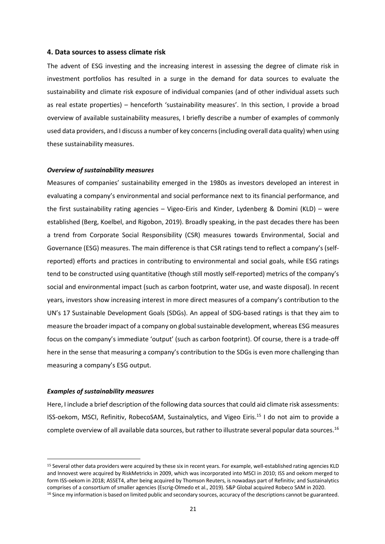#### **4. Data sources to assess climate risk**

The advent of ESG investing and the increasing interest in assessing the degree of climate risk in investment portfolios has resulted in a surge in the demand for data sources to evaluate the sustainability and climate risk exposure of individual companies (and of other individual assets such as real estate properties) – henceforth 'sustainability measures'. In this section, I provide a broad overview of available sustainability measures, I briefly describe a number of examples of commonly used data providers, and I discuss a number of key concerns (including overall data quality) when using these sustainability measures.

#### *Overview of sustainability measures*

Measures of companies' sustainability emerged in the 1980s as investors developed an interest in evaluating a company's environmental and social performance next to its financial performance, and the first sustainability rating agencies – Vigeo-Eiris and Kinder, Lydenberg & Domini (KLD) – were established (Berg, Koelbel, and Rigobon, 2019). Broadly speaking, in the past decades there has been a trend from Corporate Social Responsibility (CSR) measures towards Environmental, Social and Governance (ESG) measures. The main difference is that CSR ratings tend to reflect a company's (selfreported) efforts and practices in contributing to environmental and social goals, while ESG ratings tend to be constructed using quantitative (though still mostly self-reported) metrics of the company's social and environmental impact (such as carbon footprint, water use, and waste disposal). In recent years, investors show increasing interest in more direct measures of a company's contribution to the UN's 17 Sustainable Development Goals (SDGs). An appeal of SDG-based ratings is that they aim to measure the broader impact of a company on global sustainable development, whereas ESG measures focus on the company's immediate 'output' (such as carbon footprint). Of course, there is a trade-off here in the sense that measuring a company's contribution to the SDGs is even more challenging than measuring a company's ESG output.

#### *Examples of sustainability measures*

Here, I include a brief description of the following data sources that could aid climate risk assessments: ISS-oekom, MSCI, Refinitiv, RobecoSAM, Sustainalytics, and Vigeo Eiris.<sup>15</sup> I do not aim to provide a complete overview of all available data sources, but rather to illustrate several popular data sources.16

<sup>15</sup> Several other data providers were acquired by these six in recent years. For example, well-established rating agencies KLD and Innovest were acquired by RiskMetricks in 2009, which was incorporated into MSCI in 2010; ISS and oekom merged to form ISS-oekom in 2018; ASSET4, after being acquired by Thomson Reuters, is nowadays part of Refinitiv; and Sustainalytics comprises of a consortium of smaller agencies (Escrig-Olmedo et al., 2019). S&P Global acquired Robeco SAM in 2020. 16 Since my information is based on limited public and secondary sources, accuracy of the descriptions cannot be guaranteed.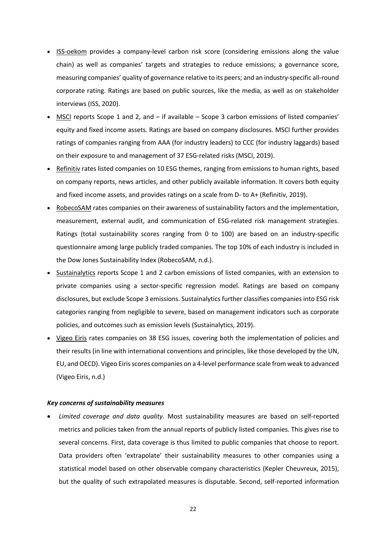- ISS-oekom provides a company-level carbon risk score (considering emissions along the value chain) as well as companies' targets and strategies to reduce emissions; a governance score, measuring companies' quality of governance relative to its peers; and an industry-specific all-round corporate rating. Ratings are based on public sources, like the media, as well as on stakeholder interviews (ISS, 2020).
- MSCI reports Scope 1 and 2, and if available Scope 3 carbon emissions of listed companies' equity and fixed income assets. Ratings are based on company disclosures. MSCI further provides ratings of companies ranging from AAA (for industry leaders) to CCC (for industry laggards) based on their exposure to and management of 37 ESG-related risks (MSCI, 2019).
- Refinitiv rates listed companies on 10 ESG themes, ranging from emissions to human rights, based on company reports, news articles, and other publicly available information. It covers both equity and fixed income assets, and provides ratings on a scale from D- to A+ (Refinitiv, 2019).
- RobecoSAM rates companies on their awareness of sustainability factors and the implementation, measurement, external audit, and communication of ESG-related risk management strategies. Ratings (total sustainability scores ranging from 0 to 100) are based on an industry-specific questionnaire among large publicly traded companies. The top 10% of each industry is included in the Dow Jones Sustainability Index (RobecoSAM, n.d.).
- Sustainalytics reports Scope 1 and 2 carbon emissions of listed companies, with an extension to private companies using a sector-specific regression model. Ratings are based on company disclosures, but exclude Scope 3 emissions. Sustainalytics further classifies companies into ESG risk categories ranging from negligible to severe, based on management indicators such as corporate policies, and outcomes such as emission levels (Sustainalytics, 2019).
- Vigeo Eiris rates companies on 38 ESG issues, covering both the implementation of policies and their results (in line with international conventions and principles, like those developed by the UN, EU, and OECD). Vigeo Eiris scores companies on a 4-level performance scale from weak to advanced (Vigeo Eiris, n.d.)

#### *Key concerns of sustainability measures*

• *Limited coverage and data quality.* Most sustainability measures are based on self-reported metrics and policies taken from the annual reports of publicly listed companies. This gives rise to several concerns. First, data coverage is thus limited to public companies that choose to report. Data providers often 'extrapolate' their sustainability measures to other companies using a statistical model based on other observable company characteristics (Kepler Cheuvreux, 2015), but the quality of such extrapolated measures is disputable. Second, self-reported information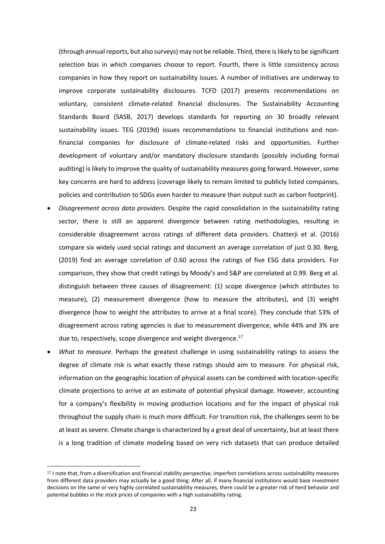(through annual reports, but also surveys) may not be reliable. Third, there is likely to be significant selection bias in which companies choose to report. Fourth, there is little consistency across companies in how they report on sustainability issues. A number of initiatives are underway to improve corporate sustainability disclosures. TCFD (2017) presents recommendations on voluntary, consistent climate-related financial disclosures. The Sustainability Accounting Standards Board (SASB, 2017) develops standards for reporting on 30 broadly relevant sustainability issues. TEG (2019d) issues recommendations to financial institutions and nonfinancial companies for disclosure of climate-related risks and opportunities. Further development of voluntary and/or mandatory disclosure standards (possibly including formal auditing) is likely to improve the quality of sustainability measures going forward. However, some key concerns are hard to address (coverage likely to remain limited to publicly listed companies, policies and contribution to SDGs even harder to measure than output such as carbon footprint).

- *Disagreement across data providers*. Despite the rapid consolidation in the sustainability rating sector, there is still an apparent divergence between rating methodologies, resulting in considerable disagreement across ratings of different data providers. Chatterji et al. (2016) compare six widely used social ratings and document an average correlation of just 0.30. Berg, (2019) find an average correlation of 0.60 across the ratings of five ESG data providers. For comparison, they show that credit ratings by Moody's and S&P are correlated at 0.99. Berg et al. distinguish between three causes of disagreement: (1) scope divergence (which attributes to measure), (2) measurement divergence (how to measure the attributes), and (3) weight divergence (how to weight the attributes to arrive at a final score). They conclude that 53% of disagreement across rating agencies is due to measurement divergence, while 44% and 3% are due to, respectively, scope divergence and weight divergence.<sup>17</sup>
- *What to measure*. Perhaps the greatest challenge in using sustainability ratings to assess the degree of climate risk is what exactly these ratings should aim to measure. For physical risk, information on the geographic location of physical assets can be combined with location-specific climate projections to arrive at an estimate of potential physical damage. However, accounting for a company's flexibility in moving production locations and for the impact of physical risk throughout the supply chain is much more difficult. For transition risk, the challenges seem to be at least as severe. Climate change is characterized by a great deal of uncertainty, but at least there is a long tradition of climate modeling based on very rich datasets that can produce detailed

<sup>17</sup> I note that, from a diversification and financial stability perspective, imperfect correlations across sustainability measures from different data providers may actually be a good thing. After all, if many financial institutions would base investment decisions on the same or very highly correlated sustainability measures, there could be a greater risk of herd behavior and potential bubbles in the stock prices of companies with a high sustainability rating.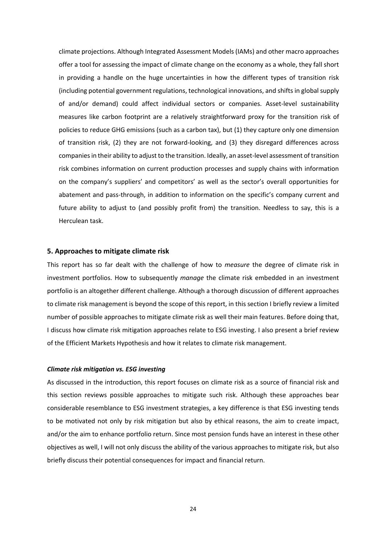climate projections. Although Integrated Assessment Models (IAMs) and other macro approaches offer a tool for assessing the impact of climate change on the economy as a whole, they fall short in providing a handle on the huge uncertainties in how the different types of transition risk (including potential government regulations, technological innovations, and shifts in global supply of and/or demand) could affect individual sectors or companies. Asset-level sustainability measures like carbon footprint are a relatively straightforward proxy for the transition risk of policies to reduce GHG emissions (such as a carbon tax), but (1) they capture only one dimension of transition risk, (2) they are not forward-looking, and (3) they disregard differences across companies in their ability to adjust to the transition. Ideally, an asset-level assessment of transition risk combines information on current production processes and supply chains with information on the company's suppliers' and competitors' as well as the sector's overall opportunities for abatement and pass-through, in addition to information on the specific's company current and future ability to adjust to (and possibly profit from) the transition. Needless to say, this is a Herculean task.

#### **5. Approaches to mitigate climate risk**

This report has so far dealt with the challenge of how to *measure* the degree of climate risk in investment portfolios. How to subsequently *manage* the climate risk embedded in an investment portfolio is an altogether different challenge. Although a thorough discussion of different approaches to climate risk management is beyond the scope of this report, in this section I briefly review a limited number of possible approaches to mitigate climate risk as well their main features. Before doing that, I discuss how climate risk mitigation approaches relate to ESG investing. I also present a brief review of the Efficient Markets Hypothesis and how it relates to climate risk management.

#### *Climate risk mitigation vs. ESG investing*

As discussed in the introduction, this report focuses on climate risk as a source of financial risk and this section reviews possible approaches to mitigate such risk. Although these approaches bear considerable resemblance to ESG investment strategies, a key difference is that ESG investing tends to be motivated not only by risk mitigation but also by ethical reasons, the aim to create impact, and/or the aim to enhance portfolio return. Since most pension funds have an interest in these other objectives as well, I will not only discuss the ability of the various approaches to mitigate risk, but also briefly discuss their potential consequences for impact and financial return.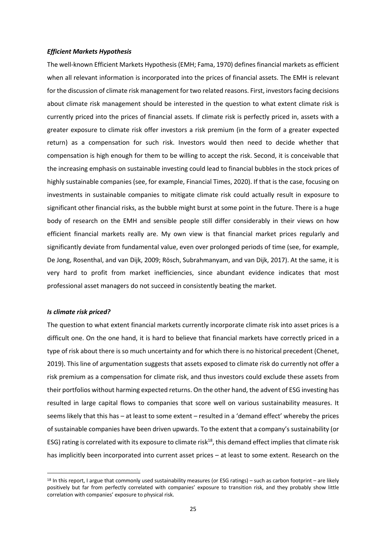#### *Efficient Markets Hypothesis*

The well-known Efficient Markets Hypothesis (EMH; Fama, 1970) defines financial markets as efficient when all relevant information is incorporated into the prices of financial assets. The EMH is relevant for the discussion of climate risk management for two related reasons. First, investors facing decisions about climate risk management should be interested in the question to what extent climate risk is currently priced into the prices of financial assets. If climate risk is perfectly priced in, assets with a greater exposure to climate risk offer investors a risk premium (in the form of a greater expected return) as a compensation for such risk. Investors would then need to decide whether that compensation is high enough for them to be willing to accept the risk. Second, it is conceivable that the increasing emphasis on sustainable investing could lead to financial bubbles in the stock prices of highly sustainable companies (see, for example, Financial Times, 2020). If that is the case, focusing on investments in sustainable companies to mitigate climate risk could actually result in exposure to significant other financial risks, as the bubble might burst at some point in the future. There is a huge body of research on the EMH and sensible people still differ considerably in their views on how efficient financial markets really are. My own view is that financial market prices regularly and significantly deviate from fundamental value, even over prolonged periods of time (see, for example, De Jong, Rosenthal, and van Dijk, 2009; Rösch, Subrahmanyam, and van Dijk, 2017). At the same, it is very hard to profit from market inefficiencies, since abundant evidence indicates that most professional asset managers do not succeed in consistently beating the market.

#### *Is climate risk priced?*

The question to what extent financial markets currently incorporate climate risk into asset prices is a difficult one. On the one hand, it is hard to believe that financial markets have correctly priced in a type of risk about there is so much uncertainty and for which there is no historical precedent (Chenet, 2019). This line of argumentation suggests that assets exposed to climate risk do currently not offer a risk premium as a compensation for climate risk, and thus investors could exclude these assets from their portfolios without harming expected returns. On the other hand, the advent of ESG investing has resulted in large capital flows to companies that score well on various sustainability measures. It seems likely that this has – at least to some extent – resulted in a 'demand effect' whereby the prices of sustainable companies have been driven upwards. To the extent that a company's sustainability (or ESG) rating is correlated with its exposure to climate risk<sup>18</sup>, this demand effect implies that climate risk has implicitly been incorporated into current asset prices – at least to some extent. Research on the

 $18$  In this report, I argue that commonly used sustainability measures (or ESG ratings) – such as carbon footprint – are likely positively but far from perfectly correlated with companies' exposure to transition risk, and they probably show little correlation with companies' exposure to physical risk.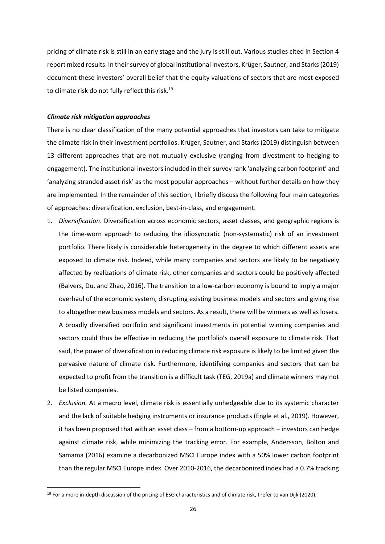pricing of climate risk is still in an early stage and the jury is still out. Various studies cited in Section 4 report mixed results. In their survey of global institutional investors, Krüger, Sautner, and Starks (2019) document these investors' overall belief that the equity valuations of sectors that are most exposed to climate risk do not fully reflect this risk.<sup>19</sup>

#### *Climate risk mitigation approaches*

There is no clear classification of the many potential approaches that investors can take to mitigate the climate risk in their investment portfolios. Krüger, Sautner, and Starks (2019) distinguish between 13 different approaches that are not mutually exclusive (ranging from divestment to hedging to engagement). The institutional investors included in their survey rank 'analyzing carbon footprint' and 'analyzing stranded asset risk' as the most popular approaches – without further details on how they are implemented. In the remainder of this section, I briefly discuss the following four main categories of approaches: diversification, exclusion, best-in-class, and engagement.

- 1. *Diversification*. Diversification across economic sectors, asset classes, and geographic regions is the time-worn approach to reducing the idiosyncratic (non-systematic) risk of an investment portfolio. There likely is considerable heterogeneity in the degree to which different assets are exposed to climate risk. Indeed, while many companies and sectors are likely to be negatively affected by realizations of climate risk, other companies and sectors could be positively affected (Balvers, Du, and Zhao, 2016). The transition to a low-carbon economy is bound to imply a major overhaul of the economic system, disrupting existing business models and sectors and giving rise to altogether new business models and sectors. As a result, there will be winners as well as losers. A broadly diversified portfolio and significant investments in potential winning companies and sectors could thus be effective in reducing the portfolio's overall exposure to climate risk. That said, the power of diversification in reducing climate risk exposure is likely to be limited given the pervasive nature of climate risk. Furthermore, identifying companies and sectors that can be expected to profit from the transition is a difficult task (TEG, 2019a) and climate winners may not be listed companies.
- 2. *Exclusion.* At a macro level, climate risk is essentially unhedgeable due to its systemic character and the lack of suitable hedging instruments or insurance products (Engle et al., 2019). However, it has been proposed that with an asset class – from a bottom-up approach – investors can hedge against climate risk, while minimizing the tracking error. For example, Andersson, Bolton and Samama (2016) examine a decarbonized MSCI Europe index with a 50% lower carbon footprint than the regular MSCI Europe index. Over 2010-2016, the decarbonized index had a 0.7% tracking

<sup>&</sup>lt;sup>19</sup> For a more in-depth discussion of the pricing of ESG characteristics and of climate risk, I refer to van Dijk (2020).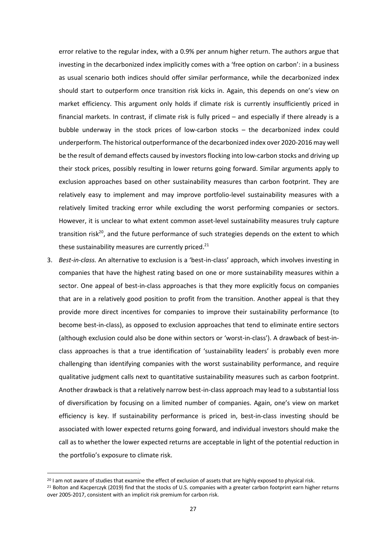error relative to the regular index, with a 0.9% per annum higher return. The authors argue that investing in the decarbonized index implicitly comes with a 'free option on carbon': in a business as usual scenario both indices should offer similar performance, while the decarbonized index should start to outperform once transition risk kicks in. Again, this depends on one's view on market efficiency. This argument only holds if climate risk is currently insufficiently priced in financial markets. In contrast, if climate risk is fully priced – and especially if there already is a bubble underway in the stock prices of low-carbon stocks – the decarbonized index could underperform. The historical outperformance of the decarbonized index over 2020-2016 may well be the result of demand effects caused by investors flocking into low-carbon stocks and driving up their stock prices, possibly resulting in lower returns going forward. Similar arguments apply to exclusion approaches based on other sustainability measures than carbon footprint. They are relatively easy to implement and may improve portfolio-level sustainability measures with a relatively limited tracking error while excluding the worst performing companies or sectors. However, it is unclear to what extent common asset-level sustainability measures truly capture transition risk<sup>20</sup>, and the future performance of such strategies depends on the extent to which these sustainability measures are currently priced. $21$ 

3. *Best-in-class.* An alternative to exclusion is a 'best-in-class' approach, which involves investing in companies that have the highest rating based on one or more sustainability measures within a sector. One appeal of best-in-class approaches is that they more explicitly focus on companies that are in a relatively good position to profit from the transition. Another appeal is that they provide more direct incentives for companies to improve their sustainability performance (to become best-in-class), as opposed to exclusion approaches that tend to eliminate entire sectors (although exclusion could also be done within sectors or 'worst-in-class'). A drawback of best-inclass approaches is that a true identification of 'sustainability leaders' is probably even more challenging than identifying companies with the worst sustainability performance, and require qualitative judgment calls next to quantitative sustainability measures such as carbon footprint. Another drawback is that a relatively narrow best-in-class approach may lead to a substantial loss of diversification by focusing on a limited number of companies. Again, one's view on market efficiency is key. If sustainability performance is priced in, best-in-class investing should be associated with lower expected returns going forward, and individual investors should make the call as to whether the lower expected returns are acceptable in light of the potential reduction in the portfolio's exposure to climate risk.

<sup>&</sup>lt;sup>20</sup> I am not aware of studies that examine the effect of exclusion of assets that are highly exposed to physical risk.

<sup>&</sup>lt;sup>21</sup> Bolton and Kacperczyk (2019) find that the stocks of U.S. companies with a greater carbon footprint earn higher returns over 2005-2017, consistent with an implicit risk premium for carbon risk.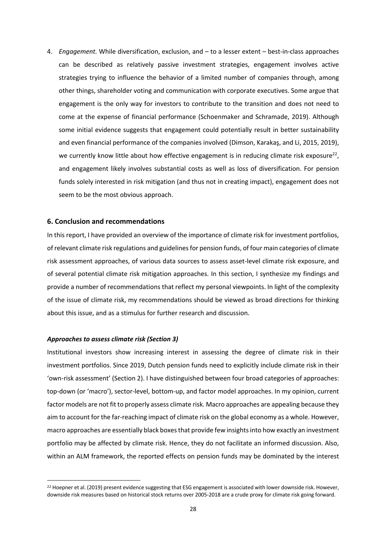4. *Engagement.* While diversification, exclusion, and – to a lesser extent – best-in-class approaches can be described as relatively passive investment strategies, engagement involves active strategies trying to influence the behavior of a limited number of companies through, among other things, shareholder voting and communication with corporate executives. Some argue that engagement is the only way for investors to contribute to the transition and does not need to come at the expense of financial performance (Schoenmaker and Schramade, 2019). Although some initial evidence suggests that engagement could potentially result in better sustainability and even financial performance of the companies involved (Dimson, Karakaş, and Li, 2015, 2019), we currently know little about how effective engagement is in reducing climate risk exposure<sup>22</sup>, and engagement likely involves substantial costs as well as loss of diversification. For pension funds solely interested in risk mitigation (and thus not in creating impact), engagement does not seem to be the most obvious approach.

#### **6. Conclusion and recommendations**

In this report, I have provided an overview of the importance of climate risk for investment portfolios, of relevant climate risk regulations and guidelines for pension funds, of four main categories of climate risk assessment approaches, of various data sources to assess asset-level climate risk exposure, and of several potential climate risk mitigation approaches. In this section, I synthesize my findings and provide a number of recommendations that reflect my personal viewpoints. In light of the complexity of the issue of climate risk, my recommendations should be viewed as broad directions for thinking about this issue, and as a stimulus for further research and discussion.

#### *Approaches to assess climate risk (Section 3)*

Institutional investors show increasing interest in assessing the degree of climate risk in their investment portfolios. Since 2019, Dutch pension funds need to explicitly include climate risk in their 'own-risk assessment' (Section 2). I have distinguished between four broad categories of approaches: top-down (or 'macro'), sector-level, bottom-up, and factor model approaches. In my opinion, current factor models are not fit to properly assess climate risk. Macro approaches are appealing because they aim to account for the far-reaching impact of climate risk on the global economy as a whole. However, macro approaches are essentially black boxes that provide few insights into how exactly an investment portfolio may be affected by climate risk. Hence, they do not facilitate an informed discussion. Also, within an ALM framework, the reported effects on pension funds may be dominated by the interest

<sup>&</sup>lt;sup>22</sup> Hoepner et al. (2019) present evidence suggesting that ESG engagement is associated with lower downside risk. However, downside risk measures based on historical stock returns over 2005-2018 are a crude proxy for climate risk going forward.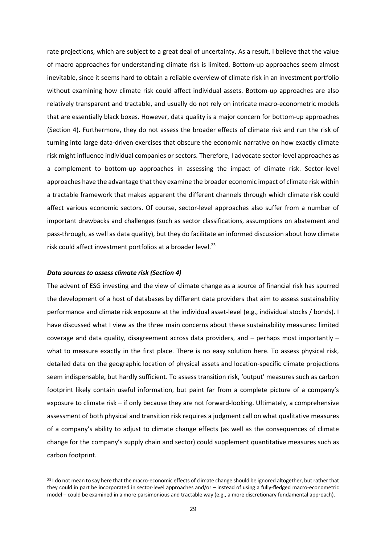rate projections, which are subject to a great deal of uncertainty. As a result, I believe that the value of macro approaches for understanding climate risk is limited. Bottom-up approaches seem almost inevitable, since it seems hard to obtain a reliable overview of climate risk in an investment portfolio without examining how climate risk could affect individual assets. Bottom-up approaches are also relatively transparent and tractable, and usually do not rely on intricate macro-econometric models that are essentially black boxes. However, data quality is a major concern for bottom-up approaches (Section 4). Furthermore, they do not assess the broader effects of climate risk and run the risk of turning into large data-driven exercises that obscure the economic narrative on how exactly climate risk might influence individual companies or sectors. Therefore, I advocate sector-level approaches as a complement to bottom-up approaches in assessing the impact of climate risk. Sector-level approaches have the advantage that they examine the broader economic impact of climate risk within a tractable framework that makes apparent the different channels through which climate risk could affect various economic sectors. Of course, sector-level approaches also suffer from a number of important drawbacks and challenges (such as sector classifications, assumptions on abatement and pass-through, as well as data quality), but they do facilitate an informed discussion about how climate risk could affect investment portfolios at a broader level.<sup>23</sup>

#### *Data sources to assess climate risk (Section 4)*

The advent of ESG investing and the view of climate change as a source of financial risk has spurred the development of a host of databases by different data providers that aim to assess sustainability performance and climate risk exposure at the individual asset-level (e.g., individual stocks / bonds). I have discussed what I view as the three main concerns about these sustainability measures: limited coverage and data quality, disagreement across data providers, and – perhaps most importantly – what to measure exactly in the first place. There is no easy solution here. To assess physical risk, detailed data on the geographic location of physical assets and location-specific climate projections seem indispensable, but hardly sufficient. To assess transition risk, 'output' measures such as carbon footprint likely contain useful information, but paint far from a complete picture of a company's exposure to climate risk – if only because they are not forward-looking. Ultimately, a comprehensive assessment of both physical and transition risk requires a judgment call on what qualitative measures of a company's ability to adjust to climate change effects (as well as the consequences of climate change for the company's supply chain and sector) could supplement quantitative measures such as carbon footprint.

<sup>&</sup>lt;sup>23</sup> I do not mean to say here that the macro-economic effects of climate change should be ignored altogether, but rather that they could in part be incorporated in sector-level approaches and/or – instead of using a fully-fledged macro-econometric model – could be examined in a more parsimonious and tractable way (e.g., a more discretionary fundamental approach).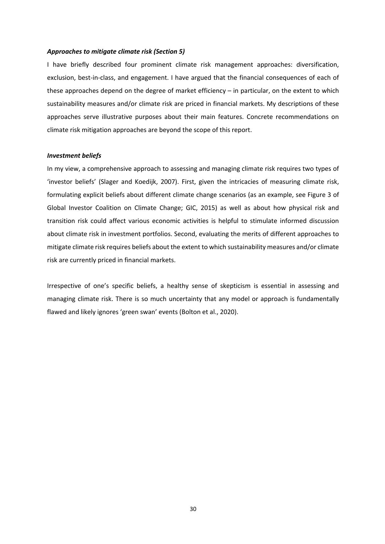#### *Approaches to mitigate climate risk (Section 5)*

I have briefly described four prominent climate risk management approaches: diversification, exclusion, best-in-class, and engagement. I have argued that the financial consequences of each of these approaches depend on the degree of market efficiency – in particular, on the extent to which sustainability measures and/or climate risk are priced in financial markets. My descriptions of these approaches serve illustrative purposes about their main features. Concrete recommendations on climate risk mitigation approaches are beyond the scope of this report.

#### *Investment beliefs*

In my view, a comprehensive approach to assessing and managing climate risk requires two types of 'investor beliefs' (Slager and Koedijk, 2007). First, given the intricacies of measuring climate risk, formulating explicit beliefs about different climate change scenarios (as an example, see Figure 3 of Global Investor Coalition on Climate Change; GIC, 2015) as well as about how physical risk and transition risk could affect various economic activities is helpful to stimulate informed discussion about climate risk in investment portfolios. Second, evaluating the merits of different approaches to mitigate climate risk requires beliefs about the extent to which sustainability measures and/or climate risk are currently priced in financial markets.

Irrespective of one's specific beliefs, a healthy sense of skepticism is essential in assessing and managing climate risk. There is so much uncertainty that any model or approach is fundamentally flawed and likely ignores 'green swan' events (Bolton et al., 2020).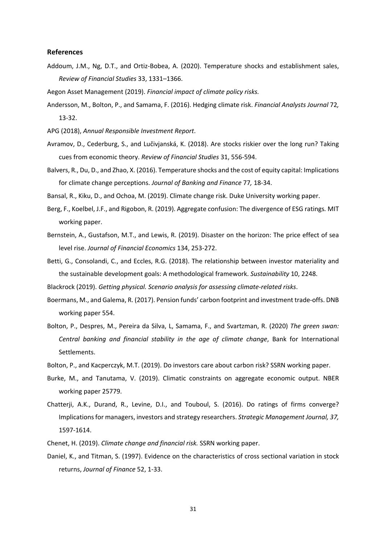#### **References**

- Addoum, J.M., Ng, D.T., and Ortiz-Bobea, A. (2020). Temperature shocks and establishment sales, *Review of Financial Studies* 33, 1331–1366.
- Aegon Asset Management (2019). *Financial impact of climate policy risks.*
- Andersson, M., Bolton, P., and Samama, F. (2016). Hedging climate risk. *Financial Analysts Journal* 72*,*  13-32.
- APG (2018), *Annual Responsible Investment Report*.
- Avramov, D., Cederburg, S., and Lučivjanská, K. (2018). Are stocks riskier over the long run? Taking cues from economic theory. *Review of Financial Studies* 31, 556-594.
- Balvers, R., Du, D., and Zhao, X. (2016). Temperature shocks and the cost of equity capital: Implications for climate change perceptions. *Journal of Banking and Finance* 77*,* 18-34.

Bansal, R., Kiku, D., and Ochoa, M. (2019). Climate change risk. Duke University working paper.

- Berg, F., Koelbel, J.F., and Rigobon, R. (2019). Aggregate confusion: The divergence of ESG ratings*.* MIT working paper.
- Bernstein, A., Gustafson, M.T., and Lewis, R. (2019). Disaster on the horizon: The price effect of sea level rise. *Journal of Financial Economics* 134, 253-272.
- Betti, G., Consolandi, C., and Eccles, R.G. (2018). The relationship between investor materiality and the sustainable development goals: A methodological framework. *Sustainability* 10, 2248.

Blackrock (2019). *Getting physical. Scenario analysis for assessing climate-related risks*.

- Boermans, M., and Galema, R. (2017). Pension funds' carbon footprint and investment trade-offs. DNB working paper 554.
- Bolton, P., Despres, M., Pereira da Silva, L, Samama, F., and Svartzman, R. (2020) *The green swan: Central banking and financial stability in the age of climate change*, Bank for International Settlements.
- Bolton, P., and Kacperczyk, M.T. (2019). Do investors care about carbon risk? SSRN working paper.
- Burke, M., and Tanutama, V. (2019). Climatic constraints on aggregate economic output. NBER working paper 25779.
- Chatterji, A.K., Durand, R., Levine, D.I., and Touboul, S. (2016). Do ratings of firms converge? Implications for managers, investors and strategy researchers. *Strategic Management Journal, 37,* 1597-1614.
- Chenet, H. (2019). *Climate change and financial risk.* SSRN working paper.
- Daniel, K., and Titman, S. (1997). Evidence on the characteristics of cross sectional variation in stock returns, *Journal of Finance* 52, 1-33.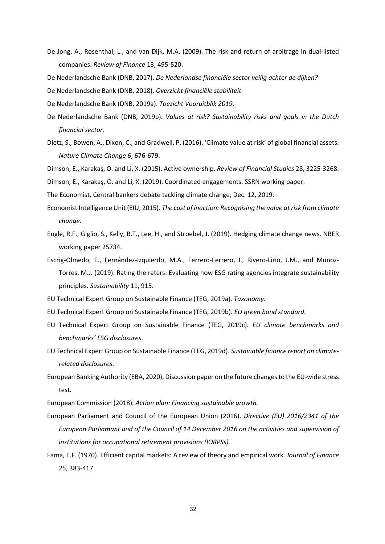- De Jong, A., Rosenthal, L., and van Dijk, M.A. (2009). The risk and return of arbitrage in dual-listed companies. *Review of Finance* 13, 495-520.
- De Nederlandsche Bank (DNB, 2017). *De Nederlandse financiële sector veilig achter de dijken?*
- De Nederlandsche Bank (DNB, 2018). *Overzicht financiële stabiliteit*.
- De Nederlandsche Bank (DNB, 2019a). *Toezicht Vooruitblik 2019*.
- De Nederlandsche Bank (DNB, 2019b). *Values at risk? Sustainability risks and goals in the Dutch financial sector.*
- Dietz, S., Bowen, A., Dixon, C., and Gradwell, P. (2016). 'Climate value at risk' of global financial assets. *Nature Climate Change* 6, 676-679.
- Dimson, E., Karakaş, O. and Li, X. (2015). Active ownership. *Review of Financial Studies* 28, 3225-3268.

Dimson, E., Karakaş, O. and Li, X. (2019). Coordinated engagements. SSRN working paper.

- The Economist, Central bankers debate tackling climate change, Dec. 12, 2019.
- Economist Intelligence Unit (EIU, 2015). *The cost of inaction: Recognising the value at risk from climate change.*
- Engle, R.F., Giglio, S., Kelly, B.T., Lee, H., and Stroebel, J. (2019). Hedging climate change news*.* NBER working paper 25734.
- Escrig-Olmedo, E., Fernández-Izquierdo, M.A., Ferrero-Ferrero, I., Rivero-Lirio, J.M., and Munoz-Torres, M.J. (2019). Rating the raters: Evaluating how ESG rating agencies integrate sustainability principles. *Sustainability* 11, 915.
- EU Technical Expert Group on Sustainable Finance (TEG, 2019a). *Taxonomy*.
- EU Technical Expert Group on Sustainable Finance (TEG, 2019b). *EU green bond standard*.
- EU Technical Expert Group on Sustainable Finance (TEG, 2019c). *EU climate benchmarks and benchmarks' ESG disclosures*.
- EU Technical Expert Group on Sustainable Finance (TEG, 2019d). *Sustainable finance report on climaterelated disclosures*.
- European Banking Authority (EBA, 2020), Discussion paper on the future changes to the EU-wide stress test.
- European Commission (2018). *Action plan: Financing sustainable growth.*
- European Parliament and Council of the European Union (2016). *Directive (EU) 2016/2341 of the European Parliamant and of the Council of 14 December 2016 on the activities and supervision of institutions for occupational retirement provisions (IORPSs).*
- Fama, E.F. (1970). Efficient capital markets: A review of theory and empirical work. *Journal of Finance* 25, 383-417.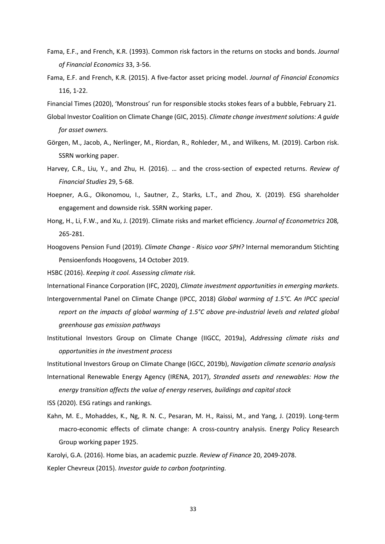- Fama, E.F., and French, K.R. (1993). Common risk factors in the returns on stocks and bonds. *Journal of Financial Economics* 33, 3-56.
- Fama, E.F. and French, K.R. (2015). A five-factor asset pricing model. *Journal of Financial Economics* 116, 1-22.
- Financial Times (2020), 'Monstrous' run for responsible stocks stokes fears of a bubble, February 21.
- Global Investor Coalition on Climate Change (GIC, 2015). *Climate change investment solutions: A guide for asset owners.*
- Görgen, M., Jacob, A., Nerlinger, M., Riordan, R., Rohleder, M., and Wilkens, M. (2019). Carbon risk. SSRN working paper.
- Harvey, C.R., Liu, Y., and Zhu, H. (2016). … and the cross-section of expected returns. *Review of Financial Studies* 29, 5-68.
- Hoepner, A.G., Oikonomou, I., Sautner, Z., Starks, L.T., and Zhou, X. (2019). ESG shareholder engagement and downside risk. SSRN working paper.
- Hong, H., Li, F.W., and Xu, J. (2019). Climate risks and market efficiency. *Journal of Econometrics* 208*,*  265-281.
- Hoogovens Pension Fund (2019). *Climate Change - Risico voor SPH?* Internal memorandum Stichting Pensioenfonds Hoogovens, 14 October 2019.

HSBC (2016). *Keeping it cool. Assessing climate risk.*

International Finance Corporation (IFC, 2020), *Climate investment opportunities in emerging markets*.

- Intergovernmental Panel on Climate Change (IPCC, 2018) *Global warming of 1.5°C. An IPCC special report on the impacts of global warming of 1.5°C above pre-industrial levels and related global greenhouse gas emission pathways*
- Institutional Investors Group on Climate Change (IIGCC, 2019a), *Addressing climate risks and opportunities in the investment process*

Institutional Investors Group on Climate Change (IGCC, 2019b), *Navigation climate scenario analysis* International Renewable Energy Agency (IRENA, 2017), *Stranded assets and renewables: How the energy transition affects the value of energy reserves, buildings and capital stock*

ISS (2020). ESG ratings and rankings*.*

Kahn, M. E., Mohaddes, K., Ng, R. N. C., Pesaran, M. H., Raissi, M., and Yang, J. (2019). Long-term macro-economic effects of climate change: A cross-country analysis. Energy Policy Research Group working paper 1925.

Karolyi, G.A. (2016). Home bias, an academic puzzle. *Review of Finance* 20, 2049-2078. Kepler Chevreux (2015). *Investor guide to carbon footprinting.*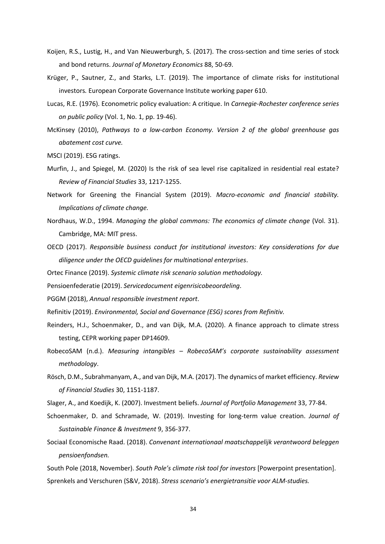- Koijen, R.S., Lustig, H., and Van Nieuwerburgh, S. (2017). The cross-section and time series of stock and bond returns. *Journal of Monetary Economics* 88, 50-69.
- Krüger, P., Sautner, Z., and Starks, L.T. (2019). The importance of climate risks for institutional investors*.* European Corporate Governance Institute working paper 610.
- Lucas, R.E. (1976). Econometric policy evaluation: A critique. In *Carnegie-Rochester conference series on public policy* (Vol. 1, No. 1, pp. 19-46).
- McKinsey (2010), *Pathways to a low-carbon Economy. Version 2 of the global greenhouse gas abatement cost curve.*

MSCI (2019). ESG ratings.

- Murfin, J., and Spiegel, M. (2020) Is the risk of sea level rise capitalized in residential real estate? *Review of Financial Studies* 33, 1217-1255.
- Network for Greening the Financial System (2019). *Macro-economic and financial stability. Implications of climate change.*
- Nordhaus, W.D., 1994. *Managing the global commons: The economics of climate change* (Vol. 31). Cambridge, MA: MIT press.
- OECD (2017). *Responsible business conduct for institutional investors: Key considerations for due diligence under the OECD guidelines for multinational enterprises*.
- Ortec Finance (2019). *Systemic climate risk scenario solution methodology.*
- Pensioenfederatie (2019). *Servicedocument eigenrisicobeoordeling*.
- PGGM (2018), *Annual responsible investment report*.
- Refinitiv (2019). *Environmental, Social and Governance (ESG) scores from Refinitiv.*
- Reinders, H.J., Schoenmaker, D., and van Dijk, M.A. (2020). A finance approach to climate stress testing, CEPR working paper DP14609.
- RobecoSAM (n.d.). *Measuring intangibles – RobecoSAM's corporate sustainability assessment methodology*.
- Rösch, D.M., Subrahmanyam, A., and van Dijk, M.A. (2017). The dynamics of market efficiency. *Review of Financial Studies* 30, 1151-1187.
- Slager, A., and Koedijk, K. (2007). Investment beliefs. *Journal of Portfolio Management* 33, 77-84.
- Schoenmaker, D. and Schramade, W. (2019). Investing for long-term value creation. *Journal of Sustainable Finance & Investment* 9, 356-377.
- Sociaal Economische Raad. (2018). *Convenant internationaal maatschappelijk verantwoord beleggen pensioenfondsen.*

South Pole (2018, November). *South Pole's climate risk tool for investors* [Powerpoint presentation]. Sprenkels and Verschuren (S&V, 2018). *Stress scenario's energietransitie voor ALM-studies.*